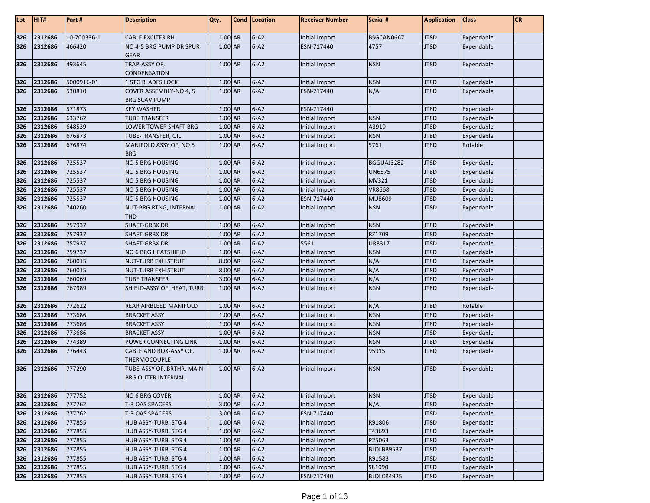| Lot | HIT#    | Part#       | <b>Description</b>                                     | Qty.    | Cond   Location | <b>Receiver Number</b> | Serial #      | <b>Application</b> | <b>Class</b> | CR |
|-----|---------|-------------|--------------------------------------------------------|---------|-----------------|------------------------|---------------|--------------------|--------------|----|
| 326 | 2312686 | 10-700336-1 | <b>CABLE EXCITER RH</b>                                | 1.00 AR | $6 - A2$        | Initial Import         | BSGCAN0667    | JT8D               | Expendable   |    |
| 326 | 2312686 | 466420      | NO 4-5 BRG PUMP DR SPUR<br><b>GEAR</b>                 | 1.00 AR | $6 - A2$        | ESN-717440             | 4757          | JT8D               | Expendable   |    |
| 326 | 2312686 | 493645      | TRAP-ASSY OF,<br><b>CONDENSATION</b>                   | 1.00 AR | $6 - A2$        | Initial Import         | <b>NSN</b>    | JT8D               | Expendable   |    |
| 326 | 2312686 | 5000916-01  | <b>1 STG BLADES LOCK</b>                               | 1.00 AR | $6 - A2$        | Initial Import         | <b>NSN</b>    | JT8D               | Expendable   |    |
| 326 | 2312686 | 530810      | COVER ASSEMBLY-NO 4, 5                                 | 1.00 AR | $6 - A2$        | ESN-717440             | N/A           | JT8D               | Expendable   |    |
|     |         |             | <b>BRG SCAV PUMP</b>                                   |         |                 |                        |               |                    |              |    |
| 326 | 2312686 | 571873      | <b>KEY WASHER</b>                                      | 1.00 AR | $6 - A2$        | ESN-717440             |               | JT8D               | Expendable   |    |
| 326 | 2312686 | 633762      | <b>TUBE TRANSFER</b>                                   | 1.00 AR | $6 - A2$        | Initial Import         | <b>NSN</b>    | JT8D               | Expendable   |    |
| 326 | 2312686 | 648539      | LOWER TOWER SHAFT BRG                                  | 1.00 AR | $6 - A2$        | Initial Import         | A3919         | JT8D               | Expendable   |    |
| 326 | 2312686 | 676873      | TUBE-TRANSFER, OIL                                     | 1.00 AR | $6 - A2$        | Initial Import         | <b>NSN</b>    | JT8D               | Expendable   |    |
| 326 | 2312686 | 676874      | MANIFOLD ASSY OF, NO 5<br><b>BRG</b>                   | 1.00 AR | $6 - A2$        | Initial Import         | 5761          | JT8D               | Rotable      |    |
| 326 | 2312686 | 725537      | NO 5 BRG HOUSING                                       | 1.00 AR | $6 - A2$        | Initial Import         | BGGUAJ3282    | JT8D               | Expendable   |    |
| 326 | 2312686 | 725537      | <b>NO 5 BRG HOUSING</b>                                | 1.00 AR | $6 - A2$        | Initial Import         | <b>UN6575</b> | JT8D               | Expendable   |    |
| 326 | 2312686 | 725537      | <b>NO 5 BRG HOUSING</b>                                | 1.00 AR | $6 - A2$        | Initial Import         | MV321         | JT8D               | Expendable   |    |
| 326 | 2312686 | 725537      | <b>NO 5 BRG HOUSING</b>                                | 1.00 AR | $6 - A2$        | Initial Import         | <b>VR8668</b> | JT8D               | Expendable   |    |
| 326 | 2312686 | 725537      | <b>NO 5 BRG HOUSING</b>                                | 1.00 AR | $6 - A2$        | ESN-717440             | MU8609        | JT8D               | Expendable   |    |
| 326 | 2312686 | 740260      | NUT-BRG RTNG, INTERNAL<br><b>THD</b>                   | 1.00 AR | $6 - A2$        | Initial Import         | <b>NSN</b>    | JT8D               | Expendable   |    |
| 326 | 2312686 | 757937      | <b>SHAFT-GRBX DR</b>                                   | 1.00 AR | $6 - A2$        | Initial Import         | <b>NSN</b>    | JT8D               | Expendable   |    |
| 326 | 2312686 | 757937      | <b>SHAFT-GRBX DR</b>                                   | 1.00 AR | $6 - A2$        | Initial Import         | RZ1709        | JT8D               | Expendable   |    |
| 326 | 2312686 | 757937      | <b>SHAFT-GRBX DR</b>                                   | 1.00 AR | $6 - A2$        | 5561                   | UR8317        | JT8D               | Expendable   |    |
| 326 | 2312686 | 759737      | NO 6 BRG HEATSHIELD                                    | 1.00 AR | $6 - A2$        | Initial Import         | <b>NSN</b>    | JT8D               | Expendable   |    |
| 326 | 2312686 | 760015      | <b>NUT-TURB EXH STRUT</b>                              | 8.00 AR | $6 - A2$        | Initial Import         | N/A           | JT8D               | Expendable   |    |
| 326 | 2312686 | 760015      | <b>NUT-TURB EXH STRUT</b>                              | 8.00 AR | $6 - A2$        | Initial Import         | N/A           | JT8D               | Expendable   |    |
| 326 | 2312686 | 760069      | <b>TUBE TRANSFER</b>                                   | 3.00 AR | $6 - A2$        | Initial Import         | N/A           | JT8D               | Expendable   |    |
| 326 | 2312686 | 767989      | SHIELD-ASSY OF, HEAT, TURB                             | 1.00 AR | $6 - A2$        | Initial Import         | <b>NSN</b>    | JT8D               | Expendable   |    |
| 326 | 2312686 | 772622      | REAR AIRBLEED MANIFOLD                                 | 1.00 AR | $6 - A2$        | Initial Import         | N/A           | JT8D               | Rotable      |    |
| 326 | 2312686 | 773686      | <b>BRACKET ASSY</b>                                    | 1.00 AR | $6 - A2$        | Initial Import         | <b>NSN</b>    | JT8D               | Expendable   |    |
| 326 | 2312686 | 773686      | <b>BRACKET ASSY</b>                                    | 1.00 AR | $6 - A2$        | Initial Import         | <b>NSN</b>    | JT8D               | Expendable   |    |
| 326 | 2312686 | 773686      | <b>BRACKET ASSY</b>                                    | 1.00 AR | $6 - A2$        | Initial Import         | <b>NSN</b>    | JT8D               | Expendable   |    |
| 326 | 2312686 | 774389      | POWER CONNECTING LINK                                  | 1.00 AR | $6 - A2$        | Initial Import         | <b>NSN</b>    | JT8D               | Expendable   |    |
| 326 | 2312686 | 776443      | CABLE AND BOX-ASSY OF,<br><b>THERMOCOUPLE</b>          | 1.00 AR | $6 - A2$        | Initial Import         | 95915         | JT8D               | Expendable   |    |
| 326 | 2312686 | 777290      | TUBE-ASSY OF, BRTHR, MAIN<br><b>BRG OUTER INTERNAL</b> | 1.00 AR | $6 - A2$        | Initial Import         | <b>NSN</b>    | JT8D               | Expendable   |    |
| 326 | 2312686 | 777752      | NO 6 BRG COVER                                         | 1.00 AR | $6 - A2$        | Initial Import         | <b>NSN</b>    | JT8D               | Expendable   |    |
| 326 | 2312686 | 777762      | T-3 OAS SPACERS                                        | 3.00 AR | $6 - A2$        | Initial Import         | N/A           | JT8D               | Expendable   |    |
| 326 | 2312686 | 777762      | T-3 OAS SPACERS                                        | 3.00 AR | $6 - A2$        | ESN-717440             |               | JT8D               | Expendable   |    |
| 326 | 2312686 | 777855      | HUB ASSY-TURB, STG 4                                   | 1.00 AR | $6 - A2$        | Initial Import         | R91806        | JT8D               | Expendable   |    |
| 326 | 2312686 | 777855      | HUB ASSY-TURB, STG 4                                   | 1.00 AR | $6 - A2$        | Initial Import         | T43693        | JT8D               | Expendable   |    |
| 326 | 2312686 | 777855      | HUB ASSY-TURB, STG 4                                   | 1.00 AR | $6 - A2$        | Initial Import         | P25063        | JT8D               | Expendable   |    |
| 326 | 2312686 | 777855      | HUB ASSY-TURB, STG 4                                   | 1.00 AR | $6 - A2$        | Initial Import         | BLDLBB9537    | JT8D               | Expendable   |    |
| 326 | 2312686 | 777855      | HUB ASSY-TURB, STG 4                                   | 1.00 AR | $6 - A2$        | Initial Import         | R91583        | JT8D               | Expendable   |    |
| 326 | 2312686 | 777855      | HUB ASSY-TURB, STG 4                                   | 1.00 AR | $6 - A2$        | Initial Import         | S81090        | JT8D               | Expendable   |    |
| 326 | 2312686 | 777855      | HUB ASSY-TURB, STG 4                                   | 1.00 AR | $6 - A2$        | ESN-717440             | BLDLCR4925    | JT8D               | Expendable   |    |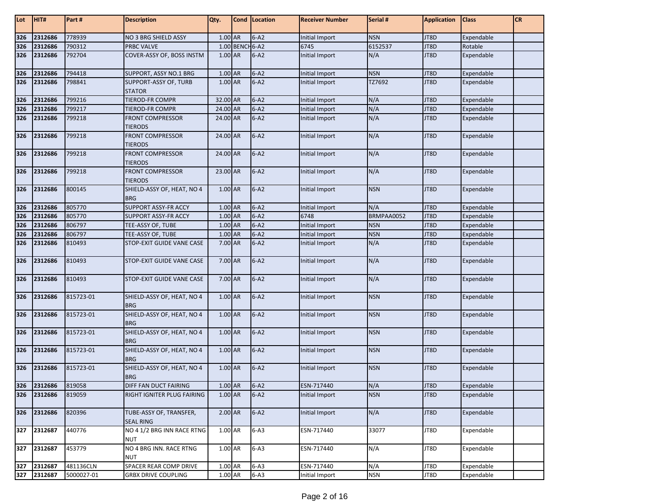| Lot | HIT#    | Part#      | <b>Description</b>                          | Qty.      |                 | <b>Cond</b> Location | <b>Receiver Number</b> | Serial #   | <b>Application</b> | <b>Class</b> | <b>CR</b> |
|-----|---------|------------|---------------------------------------------|-----------|-----------------|----------------------|------------------------|------------|--------------------|--------------|-----------|
| 326 | 2312686 | 778939     | <b>NO 3 BRG SHIELD ASSY</b>                 | 1.00 AR   |                 | $6 - A2$             | Initial Import         | <b>NSN</b> | JT8D               | Expendable   |           |
| 326 | 2312686 | 790312     | <b>PRBC VALVE</b>                           |           | 1.00 BENCH 6-A2 |                      | 6745                   | 6152537    | JT8D               | Rotable      |           |
| 326 | 2312686 | 792704     | COVER-ASSY OF, BOSS INSTM                   | 1.00 AR   |                 | $6 - A2$             | Initial Import         | N/A        | JT8D               | Expendable   |           |
| 326 | 2312686 | 794418     | SUPPORT, ASSY NO.1 BRG                      | 1.00 AR   |                 | $6 - A2$             | Initial Import         | <b>NSN</b> | JT8D               | Expendable   |           |
| 326 | 2312686 | 798841     | SUPPORT-ASSY OF, TURB<br><b>STATOR</b>      | 1.00 AR   |                 | $6 - A2$             | Initial Import         | TZ7692     | JT8D               | Expendable   |           |
| 326 | 2312686 | 799216     | TIEROD-FR COMPR                             | 32.00 AR  |                 | $6 - A2$             | Initial Import         | N/A        | JT8D               | Expendable   |           |
| 326 | 2312686 | 799217     | TIEROD-FR COMPR                             | 24.00 AR  |                 | $6 - A2$             | Initial Import         | N/A        | JT8D               | Expendable   |           |
| 326 | 2312686 | 799218     | <b>FRONT COMPRESSOR</b><br><b>TIERODS</b>   | 24.00 AR  |                 | $6 - A2$             | Initial Import         | N/A        | JT8D               | Expendable   |           |
| 326 | 2312686 | 799218     | <b>FRONT COMPRESSOR</b><br><b>TIERODS</b>   | 24.00 AR  |                 | $6 - A2$             | Initial Import         | N/A        | JT8D               | Expendable   |           |
| 326 | 2312686 | 799218     | <b>FRONT COMPRESSOR</b><br><b>TIERODS</b>   | 24.00 AR  |                 | $6 - A2$             | Initial Import         | N/A        | JT8D               | Expendable   |           |
| 326 | 2312686 | 799218     | <b>FRONT COMPRESSOR</b><br><b>TIERODS</b>   | 23.00 AR  |                 | $6 - A2$             | Initial Import         | N/A        | JT8D               | Expendable   |           |
| 326 | 2312686 | 800145     | SHIELD-ASSY OF, HEAT, NO 4<br><b>BRG</b>    | 1.00 AR   |                 | $6 - A2$             | Initial Import         | <b>NSN</b> | JT8D               | Expendable   |           |
| 326 | 2312686 | 805770     | <b>SUPPORT ASSY-FR ACCY</b>                 | 1.00 AR   |                 | $6 - A2$             | Initial Import         | N/A        | JT8D               | Expendable   |           |
| 326 | 2312686 | 805770     | <b>SUPPORT ASSY-FR ACCY</b>                 | $1.00$ AR |                 | $6 - A2$             | 6748                   | BRMPAA0052 | JT8D               | Expendable   |           |
| 326 | 2312686 | 806797     | TEE-ASSY OF, TUBE                           | 1.00 AR   |                 | $6 - A2$             | Initial Import         | <b>NSN</b> | JT8D               | Expendable   |           |
| 326 | 2312686 | 806797     | TEE-ASSY OF, TUBE                           | 1.00 AR   |                 | $6 - A2$             | Initial Import         | <b>NSN</b> | JT8D               | Expendable   |           |
| 326 | 2312686 | 810493     | STOP-EXIT GUIDE VANE CASE                   | 7.00 AR   |                 | $6 - A2$             | Initial Import         | N/A        | JT8D               | Expendable   |           |
| 326 | 2312686 | 810493     | STOP-EXIT GUIDE VANE CASE                   | 7.00 AR   |                 | $6-A2$               | Initial Import         | N/A        | JT8D               | Expendable   |           |
| 326 | 2312686 | 810493     | <b>STOP-EXIT GUIDE VANE CASE</b>            | 7.00 AR   |                 | $6 - A2$             | Initial Import         | N/A        | JT8D               | Expendable   |           |
| 326 | 2312686 | 815723-01  | SHIELD-ASSY OF, HEAT, NO 4<br><b>BRG</b>    | 1.00 AR   |                 | $6 - A2$             | Initial Import         | <b>NSN</b> | JT8D               | Expendable   |           |
| 326 | 2312686 | 815723-01  | SHIELD-ASSY OF, HEAT, NO 4<br><b>BRG</b>    | 1.00 AR   |                 | $6 - A2$             | Initial Import         | <b>NSN</b> | JT8D               | Expendable   |           |
| 326 | 2312686 | 815723-01  | SHIELD-ASSY OF, HEAT, NO 4<br><b>BRG</b>    | 1.00 AR   |                 | $6 - A2$             | Initial Import         | <b>NSN</b> | JT8D               | Expendable   |           |
| 326 | 2312686 | 815723-01  | SHIELD-ASSY OF, HEAT, NO 4<br><b>BRG</b>    | 1.00 AR   |                 | $6 - A2$             | Initial Import         | <b>NSN</b> | JT8D               | Expendable   |           |
| 326 | 2312686 | 815723-01  | SHIELD-ASSY OF, HEAT, NO 4<br><b>BRG</b>    | 1.00 AR   |                 | $6 - A2$             | Initial Import         | <b>NSN</b> | JT8D               | Expendable   |           |
| 326 | 2312686 | 819058     | DIFF FAN DUCT FAIRING                       | 1.00 AR   |                 | $6 - A2$             | ESN-717440             | N/A        | JT8D               | Expendable   |           |
| 326 | 2312686 | 819059     | RIGHT IGNITER PLUG FAIRING                  | 1.00 AR   |                 | $6 - A2$             | Initial Import         | <b>NSN</b> | JT8D               | Expendable   |           |
| 326 | 2312686 | 820396     | TUBE-ASSY OF, TRANSFER,<br><b>SEAL RING</b> | $2.00$ AR |                 | $6 - A2$             | Initial Import         | N/A        | JT8D               | Expendable   |           |
| 327 | 2312687 | 440776     | NO 4 1/2 BRG INN RACE RTNG<br>NUT           | 1.00 AR   |                 | $6 - A3$             | ESN-717440             | 33077      | JT8D               | Expendable   |           |
| 327 | 2312687 | 453779     | NO 4 BRG INN. RACE RTNG<br><b>NUT</b>       | 1.00 AR   |                 | $6-A3$               | ESN-717440             | N/A        | JT8D               | Expendable   |           |
| 327 | 2312687 | 481136CLN  | SPACER REAR COMP DRIVE                      | 1.00 AR   |                 | $6 - A3$             | ESN-717440             | N/A        | JT8D               | Expendable   |           |
| 327 | 2312687 | 5000027-01 | <b>GRBX DRIVE COUPLING</b>                  | 1.00 AR   |                 | $6 - A3$             | Initial Import         | <b>NSN</b> | JT8D               | Expendable   |           |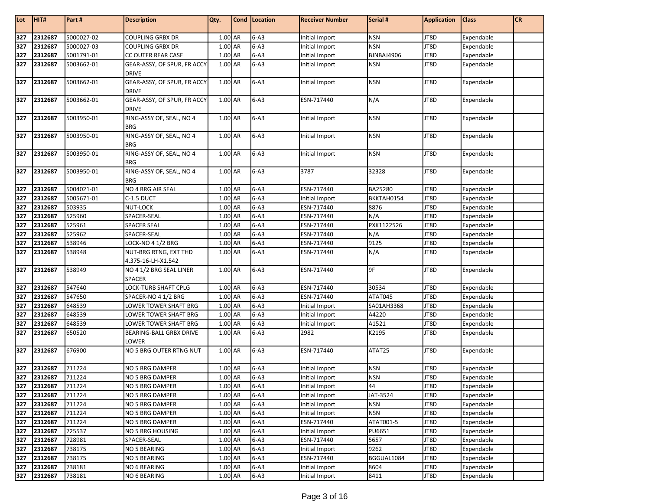| Lot | HIT#        | Part#      | <b>Description</b>                          | Qty.      | Cond Location | <b>Receiver Number</b> | Serial #   | <b>Application</b> | <b>Class</b> | <b>CR</b> |
|-----|-------------|------------|---------------------------------------------|-----------|---------------|------------------------|------------|--------------------|--------------|-----------|
|     |             |            |                                             |           |               |                        |            |                    |              |           |
| 327 | 2312687     | 5000027-02 | <b>COUPLING GRBX DR</b>                     | $1.00$ AR | $6 - A3$      | Initial Import         | <b>NSN</b> | JT8D               | Expendable   |           |
| 327 | 2312687     | 5000027-03 | <b>COUPLING GRBX DR</b>                     | 1.00 AR   | $6 - A3$      | Initial Import         | <b>NSN</b> | JT8D               | Expendable   |           |
| 327 | 2312687     | 5001791-01 | CC OUTER REAR CASE                          | 1.00 AR   | $6 - A3$      | Initial Import         | BJNBAJ4906 | JT8D               | Expendable   |           |
| 327 | 2312687     | 5003662-01 | GEAR-ASSY, OF SPUR, FR ACCY<br><b>DRIVE</b> | 1.00 AR   | $6 - A3$      | Initial Import         | <b>NSN</b> | JT8D               | Expendable   |           |
| 327 | 2312687     | 5003662-01 | GEAR-ASSY, OF SPUR, FR ACCY<br><b>DRIVE</b> | 1.00 AR   | $6 - A3$      | Initial Import         | <b>NSN</b> | JT8D               | Expendable   |           |
| 327 | 2312687     | 5003662-01 | GEAR-ASSY, OF SPUR, FR ACCY<br><b>DRIVE</b> | 1.00 AR   | $6 - A3$      | ESN-717440             | N/A        | JT8D               | Expendable   |           |
| 327 | 2312687     | 5003950-01 | RING-ASSY OF, SEAL, NO 4<br><b>BRG</b>      | 1.00 AR   | $6 - A3$      | Initial Import         | <b>NSN</b> | JT8D               | Expendable   |           |
| 327 | 2312687     | 5003950-01 | RING-ASSY OF, SEAL, NO 4<br><b>BRG</b>      | 1.00 AR   | $6 - A3$      | Initial Import         | <b>NSN</b> | JT8D               | Expendable   |           |
| 327 | 2312687     | 5003950-01 | RING-ASSY OF, SEAL, NO 4<br><b>BRG</b>      | 1.00 AR   | $6 - A3$      | Initial Import         | <b>NSN</b> | JT8D               | Expendable   |           |
| 327 | 2312687     | 5003950-01 | RING-ASSY OF, SEAL, NO 4<br><b>BRG</b>      | 1.00 AR   | $6 - A3$      | 3787                   | 32328      | JT8D               | Expendable   |           |
| 327 | 2312687     | 5004021-01 | NO 4 BRG AIR SEAL                           | 1.00 AR   | $6-A3$        | ESN-717440             | BA25280    | JT8D               | Expendable   |           |
| 327 | 2312687     | 5005671-01 | C-1.5 DUCT                                  | 1.00 AR   | $6 - A3$      | Initial Import         | BKKTAH0154 | JT8D               | Expendable   |           |
| 327 | 2312687     | 503935     | <b>NUT-LOCK</b>                             | 1.00 AR   | $6-A3$        | ESN-717440             | 8876       | JT8D               | Expendable   |           |
| 327 | 2312687     | 525960     | SPACER-SEAL                                 | 1.00 AR   | $6 - A3$      | ESN-717440             | N/A        | JT8D               | Expendable   |           |
| 327 | 2312687     | 525961     | <b>SPACER SEAL</b>                          | 1.00 AR   | $6 - A3$      | ESN-717440             | PXK1122526 | JT8D               | Expendable   |           |
| 327 | 2312687     | 525962     | SPACER-SEAL                                 | 1.00 AR   | $6 - A3$      | ESN-717440             | N/A        | JT8D               | Expendable   |           |
| 327 | 2312687     | 538946     | LOCK-NO 4 1/2 BRG                           | 1.00 AR   | $6 - A3$      | ESN-717440             | 9125       | JT8D               | Expendable   |           |
| 327 | 2312687     | 538948     | NUT-BRG RTNG, EXT THD<br>4.375-16-LH-X1.542 | 1.00 AR   | $6-A3$        | ESN-717440             | N/A        | JT8D               | Expendable   |           |
| 327 | 2312687     | 538949     | NO 4 1/2 BRG SEAL LINER<br>SPACER           | 1.00 AR   | $6 - A3$      | ESN-717440             | 9F         | JT8D               | Expendable   |           |
| 327 | 2312687     | 547640     | LOCK-TURB SHAFT CPLG                        | 1.00 AR   | $6 - A3$      | ESN-717440             | 30534      | JT8D               | Expendable   |           |
| 327 | 2312687     | 547650     | SPACER-NO 4 1/2 BRG                         | 1.00 AR   | $6 - A3$      | ESN-717440             | ATAT045    | JT8D               | Expendable   |           |
| 327 | 2312687     | 648539     | LOWER TOWER SHAFT BRG                       | 1.00 AR   | $6-A3$        | Initial Import         | SA01AH3368 | JT8D               | Expendable   |           |
| 327 | 2312687     | 648539     | LOWER TOWER SHAFT BRG                       | 1.00 AR   | $6 - A3$      | Initial Import         | A4220      | JT8D               | Expendable   |           |
| 327 | 2312687     | 648539     | LOWER TOWER SHAFT BRG                       | 1.00 AR   | $6-A3$        | Initial Import         | A1521      | JT8D               | Expendable   |           |
| 327 | 2312687     | 650520     | BEARING-BALL GRBX DRIVE<br>LOWER            | 1.00 AR   | $6 - A3$      | 2982                   | K2195      | JT8D               | Expendable   |           |
| 327 | 2312687     | 676900     | NO 5 BRG OUTER RTNG NUT                     | 1.00 AR   | $6 - A3$      | ESN-717440             | ATAT25     | JT8D               | Expendable   |           |
| 327 | 2312687     | 711224     | NO 5 BRG DAMPER                             | 1.00 AR   | $6 - A3$      | Initial Import         | <b>NSN</b> | JT8D               | Expendable   |           |
| 327 | 2312687     | 711224     | <b>NO 5 BRG DAMPER</b>                      | 1.00 AR   | $6 - A3$      | Initial Import         | <b>NSN</b> | JT8D               | Expendable   |           |
|     | 327 2312687 | 711224     | <b>NO 5 BRG DAMPER</b>                      | 1.00 AR   | $6 - A3$      | Initial Import         | 44         | JT8D               | Expendable   |           |
| 327 | 2312687     | 711224     | NO 5 BRG DAMPER                             | 1.00 AR   | $6 - A3$      | Initial Import         | JAT-3524   | JT8D               | Expendable   |           |
| 327 | 2312687     | 711224     | NO 5 BRG DAMPER                             | 1.00 AR   | $6 - A3$      | Initial Import         | <b>NSN</b> | JT8D               | Expendable   |           |
| 327 | 2312687     | 711224     | <b>NO 5 BRG DAMPER</b>                      | 1.00 AR   | $6 - A3$      | Initial Import         | <b>NSN</b> | JT8D               | Expendable   |           |
| 327 | 2312687     | 711224     | NO 5 BRG DAMPER                             | 1.00 AR   | $6 - A3$      | ESN-717440             | ATAT001-5  | JT8D               | Expendable   |           |
| 327 | 2312687     | 725537     | NO 5 BRG HOUSING                            | 1.00 AR   | $6 - A3$      | Initial Import         | PU6651     | JT8D               | Expendable   |           |
| 327 | 2312687     | 728981     | SPACER-SEAL                                 | 1.00 AR   | $6 - A3$      | ESN-717440             | 5657       | JT8D               | Expendable   |           |
| 327 | 2312687     | 738175     | NO 5 BEARING                                | 1.00 AR   | $6-A3$        | Initial Import         | 9262       | JT8D               | Expendable   |           |
| 327 | 2312687     | 738175     | <b>NO 5 BEARING</b>                         | 1.00 AR   | $6 - A3$      | ESN-717440             | BGGUAL1084 | JT8D               | Expendable   |           |
| 327 | 2312687     | 738181     | NO 6 BEARING                                | 1.00 AR   | $6 - A3$      | Initial Import         | 8604       | JT8D               | Expendable   |           |
| 327 | 2312687     | 738181     | NO 6 BEARING                                | 1.00 AR   | $6 - A3$      | Initial Import         | 8411       | JT8D               | Expendable   |           |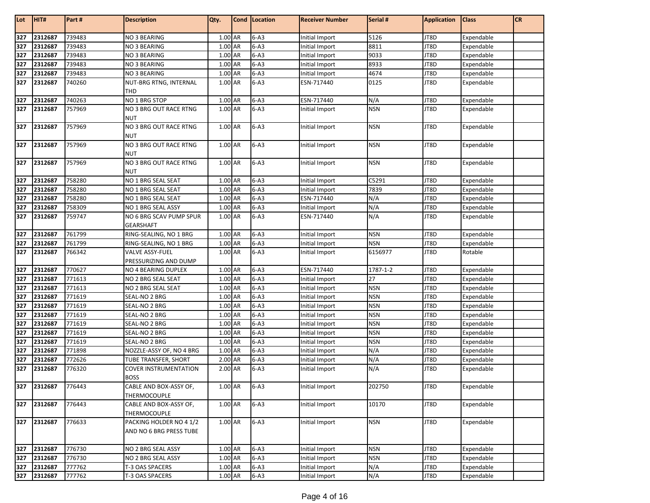| Lot        | HIT#               | Part#            | <b>Description</b>                   | Qty.               | Cond   Location      | <b>Receiver Number</b>           | Serial #                 | <b>Application</b> | <b>Class</b>             | <b>CR</b> |
|------------|--------------------|------------------|--------------------------------------|--------------------|----------------------|----------------------------------|--------------------------|--------------------|--------------------------|-----------|
| 327        | 2312687            | 739483           | NO 3 BEARING                         | $1.00$ AR          | $6 - A3$             | Initial Import                   | 5126                     | JT8D               | Expendable               |           |
| 327        | 2312687            | 739483           | NO 3 BEARING                         | 1.00 AR            | $6 - A3$             | Initial Import                   | 8811                     | JT8D               | Expendable               |           |
| 327        | 2312687            | 739483           | <b>NO 3 BEARING</b>                  | $1.00$ AR          | $6 - A3$             | Initial Import                   | 9033                     | JT8D               | Expendable               |           |
| 327        | 2312687            | 739483           | <b>NO 3 BEARING</b>                  | 1.00 AR            | $6 - A3$             | Initial Import                   | 8933                     | JT8D               | Expendable               |           |
| 327        | 2312687            | 739483           | <b>NO 3 BEARING</b>                  | 1.00 AR            | $6 - A3$             | Initial Import                   | 4674                     | JT8D               | Expendable               |           |
| 327        | 2312687            | 740260           | NUT-BRG RTNG, INTERNAL               | 1.00 AR            | $6 - A3$             | ESN-717440                       | 0125                     | JT8D               | Expendable               |           |
|            |                    |                  | <b>THD</b>                           |                    |                      |                                  |                          |                    |                          |           |
| 327        | 2312687            | 740263           | NO 1 BRG STOP                        | 1.00 AR            | $6 - A3$             | ESN-717440                       | N/A                      | JT8D               | Expendable               |           |
| 327        | 2312687            | 757969           | NO 3 BRG OUT RACE RTNG               | 1.00 AR            | $6 - A3$             | Initial Import                   | <b>NSN</b>               | JT8D               | Expendable               |           |
|            |                    | 757969           | <b>NUT</b>                           |                    | $6 - A3$             |                                  | <b>NSN</b>               | JT8D               | Expendable               |           |
| 327        | 2312687            |                  | NO 3 BRG OUT RACE RTNG<br><b>NUT</b> | 1.00 AR            |                      | Initial Import                   |                          |                    |                          |           |
| 327        | 2312687            | 757969           | NO 3 BRG OUT RACE RTNG               | 1.00 AR            | $6 - A3$             | Initial Import                   | <b>NSN</b>               | JT8D               | Expendable               |           |
|            |                    |                  | <b>NUT</b>                           |                    |                      |                                  |                          |                    |                          |           |
| 327        | 2312687            | 757969           | NO 3 BRG OUT RACE RTNG<br><b>NUT</b> | 1.00 AR            | $6-A3$               | Initial Import                   | <b>NSN</b>               | JT8D               | Expendable               |           |
| 327        | 2312687            | 758280           | NO 1 BRG SEAL SEAT                   | 1.00 AR            | $6 - A3$             | Initial Import                   | C5291                    | JT8D               | Expendable               |           |
| 327        | 2312687            | 758280           | NO 1 BRG SEAL SEAT                   | 1.00 AR            | $6-A3$               | Initial Import                   | 7839                     | JT8D               | Expendable               |           |
| 327        | 2312687            | 758280           | NO 1 BRG SEAL SEAT                   | 1.00 AR            | $6 - A3$             | ESN-717440                       | N/A                      | JT8D               | Expendable               |           |
| 327        | 2312687            | 758309           | NO 1 BRG SEAL ASSY                   | 1.00 AR            | $6 - A3$             | Initial Import                   | N/A                      | JT8D               | Expendable               |           |
| 327        | 2312687            | 759747           | NO 6 BRG SCAV PUMP SPUR              | 1.00 AR            | $6 - A3$             | ESN-717440                       | N/A                      | JT8D               | Expendable               |           |
|            |                    |                  | <b>GEARSHAFT</b>                     |                    |                      |                                  |                          |                    |                          |           |
| 327        | 2312687            | 761799           | RING-SEALING, NO 1 BRG               | 1.00 AR            | $6 - A3$             | Initial Import                   | <b>NSN</b>               | JT8D               | Expendable               |           |
| 327        | 2312687            | 761799           | RING-SEALING, NO 1 BRG               | 1.00 AR            | $6 - A3$             | Initial Import                   | <b>NSN</b>               | JT8D               | Expendable               |           |
| 327        | 2312687            | 766342           | <b>VALVE ASSY-FUEL</b>               | 1.00 AR            | $6 - A3$             | Initial Import                   | 6156977                  | JT8D               | Rotable                  |           |
|            |                    |                  | PRESSURIZING AND DUMP                |                    |                      |                                  |                          |                    |                          |           |
| 327        | 2312687            | 770627           | NO 4 BEARING DUPLEX                  | 1.00 AR            | $6 - A3$             | ESN-717440                       | 1787-1-2                 | JT8D               | Expendable               |           |
| 327        | 2312687            | 771613           | NO 2 BRG SEAL SEAT                   | 1.00 AR            | $6-A3$               | Initial Import                   | 27                       | JT8D               | Expendable               |           |
| 327        | 2312687            | 771613           | NO 2 BRG SEAL SEAT                   | 1.00 AR            | $6 - A3$             | Initial Import                   | <b>NSN</b>               | JT8D               | Expendable               |           |
| 327        | 2312687            | 771619           | SEAL-NO 2 BRG                        | 1.00 AR            | $6 - A3$             | Initial Import                   | <b>NSN</b>               | JT8D               | Expendable               |           |
| 327        | 2312687<br>2312687 | 771619<br>771619 | SEAL-NO 2 BRG                        | 1.00 AR<br>1.00 AR | $6 - A3$<br>$6 - A3$ | Initial Import                   | <b>NSN</b><br><b>NSN</b> | JT8D<br>JT8D       | Expendable               |           |
| 327<br>327 | 2312687            | 771619           | SEAL-NO 2 BRG<br>SEAL-NO 2 BRG       | 1.00 AR            | $6 - A3$             | Initial Import<br>Initial Import | <b>NSN</b>               | JT8D               | Expendable<br>Expendable |           |
| 327        | 2312687            | 771619           | SEAL-NO 2 BRG                        | 1.00 AR            | $6-A3$               | Initial Import                   | <b>NSN</b>               | JT8D               | Expendable               |           |
| 327        | 2312687            | 771619           | SEAL-NO 2 BRG                        | 1.00 AR            | $6 - A3$             | Initial Import                   | <b>NSN</b>               | JT8D               | Expendable               |           |
| 327        | 2312687            | 771898           | NOZZLE-ASSY OF, NO 4 BRG             | 1.00 AR            | $6 - A3$             | Initial Import                   | N/A                      | JT8D               | Expendable               |           |
| 327        | 2312687            | 772626           | TUBE TRANSFER, SHORT                 | 2.00 AR            | $6 - A3$             | Initial Import                   | N/A                      | JT8D               | Expendable               |           |
| 327        | 2312687            | 776320           | <b>COVER INSTRUMENTATION</b>         | 2.00 AR            | $6 - A3$             | Initial Import                   | N/A                      | JT8D               | Expendable               |           |
|            |                    |                  | <b>BOSS</b>                          |                    |                      |                                  |                          |                    |                          |           |
| 327        | 2312687            | 776443           | CABLE AND BOX-ASSY OF,               | 1.00 AR            | $6 - A3$             | Initial Import                   | 202750                   | JT8D               | Expendable               |           |
|            |                    |                  | THERMOCOUPLE                         |                    |                      |                                  |                          |                    |                          |           |
| 327        | 2312687            | 776443           | CABLE AND BOX-ASSY OF,               | 1.00 AR            | $6-A3$               | Initial Import                   | 10170                    | JT8D               | Expendable               |           |
|            |                    |                  | THERMOCOUPLE                         |                    |                      |                                  |                          |                    |                          |           |
| 327        | 2312687            | 776633           | PACKING HOLDER NO 4 1/2              | 1.00 AR            | $6 - A3$             | Initial Import                   | <b>NSN</b>               | JT8D               | Expendable               |           |
|            |                    |                  | AND NO 6 BRG PRESS TUBE              |                    |                      |                                  |                          |                    |                          |           |
| 327        | 2312687            | 776730           | NO 2 BRG SEAL ASSY                   | 1.00 AR            | $6 - A3$             | Initial Import                   | <b>NSN</b>               | JT8D               | Expendable               |           |
| 327        | 2312687            | 776730           | NO 2 BRG SEAL ASSY                   | 1.00 AR            | $6 - A3$             | Initial Import                   | <b>NSN</b>               | JT8D               | Expendable               |           |
| 327        | 2312687            | 777762           | T-3 OAS SPACERS                      | 1.00 AR            | $6 - A3$             | Initial Import                   | N/A                      | JT8D               | Expendable               |           |
|            | 327 2312687        | 777762           | T-3 OAS SPACERS                      | 1.00 AR            | $6 - A3$             | Initial Import                   | N/A                      | JT8D               | Expendable               |           |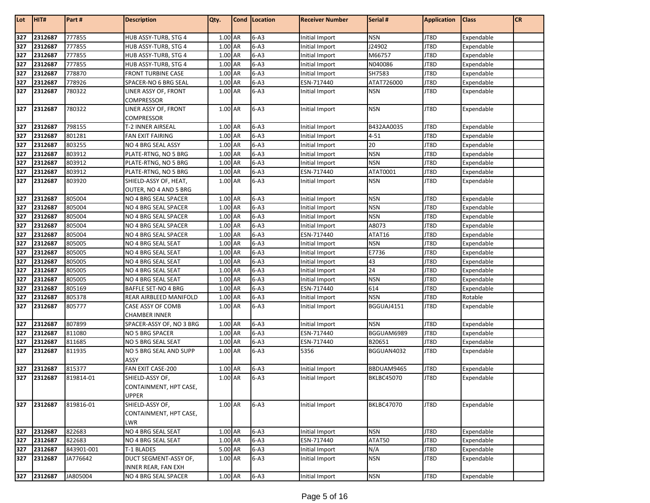| Lot              | HIT#    | Part#      | <b>Description</b>                 | Qty.    | Cond      | Location | <b>Receiver Number</b> | Serial #          | <b>Application</b> | <b>Class</b> | <b>CR</b> |
|------------------|---------|------------|------------------------------------|---------|-----------|----------|------------------------|-------------------|--------------------|--------------|-----------|
| 327              | 2312687 | 777855     | HUB ASSY-TURB, STG 4               | 1.00 AR |           | $6 - A3$ | Initial Import         | <b>NSN</b>        | JT8D               | Expendable   |           |
| 327              | 2312687 | 777855     | HUB ASSY-TURB, STG 4               | 1.00 AR |           | $6 - A3$ | Initial Import         | J24902            | JT8D               | Expendable   |           |
| 327              | 2312687 | 777855     | HUB ASSY-TURB, STG 4               | 1.00 AR |           | $6 - A3$ | <b>Initial Import</b>  | M66757            | JT8D               | Expendable   |           |
| 327              | 2312687 | 777855     | HUB ASSY-TURB, STG 4               | 1.00 AR |           | $6 - A3$ | Initial Import         | N040086           | JT8D               | Expendable   |           |
| 327              | 2312687 | 778870     | <b>FRONT TURBINE CASE</b>          | 1.00 AR |           | $6 - A3$ | Initial Import         | SH7583            | JT8D               | Expendable   |           |
| 327              | 2312687 | 778926     | SPACER-NO 6 BRG SEAL               | 1.00 AR |           | $6 - A3$ | ESN-717440             | ATAT726000        | JT8D               | Expendable   |           |
| 327              | 2312687 | 780322     | LINER ASSY OF, FRONT               | 1.00 AR |           | $6 - A3$ | Initial Import         | <b>NSN</b>        | JT8D               | Expendable   |           |
|                  |         |            | COMPRESSOR                         |         |           |          |                        |                   |                    |              |           |
| 327              | 2312687 | 780322     | LINER ASSY OF, FRONT<br>COMPRESSOR | 1.00 AR |           | $6 - A3$ | Initial Import         | <b>NSN</b>        | JT8D               | Expendable   |           |
| 327              | 2312687 | 798155     | T-2 INNER AIRSEAL                  | 1.00 AR |           | $6 - A3$ | Initial Import         | B432AA0035        | JT8D               | Expendable   |           |
| 327              | 2312687 | 801281     | <b>FAN EXIT FAIRING</b>            | 1.00 AR |           | $6 - A3$ | Initial Import         | $4 - 51$          | JT8D               | Expendable   |           |
| 327              | 2312687 | 803255     | NO 4 BRG SEAL ASSY                 | 1.00 AR |           | $6 - A3$ | <b>Initial Import</b>  | 20                | JT8D               | Expendable   |           |
| 327              | 2312687 | 803912     | PLATE-RTNG, NO 5 BRG               | 1.00 AR |           | $6 - A3$ | <b>Initial Import</b>  | <b>NSN</b>        | JT8D               | Expendable   |           |
| 327              | 2312687 | 803912     | PLATE-RTNG, NO 5 BRG               | 1.00 AR |           | $6 - A3$ | Initial Import         | <b>NSN</b>        | JT8D               | Expendable   |           |
| 327              | 2312687 | 803912     | PLATE-RTNG, NO 5 BRG               | 1.00 AR |           | $6 - A3$ | ESN-717440             | ATAT0001          | JT8D               | Expendable   |           |
| 327              | 2312687 | 803920     | SHIELD-ASSY OF, HEAT,              | 1.00 AR |           | $6 - A3$ | Initial Import         | <b>NSN</b>        | JT8D               | Expendable   |           |
|                  |         |            | OUTER, NO 4 AND 5 BRG              |         |           |          |                        |                   |                    |              |           |
| 327              | 2312687 | 805004     | NO 4 BRG SEAL SPACER               | 1.00 AR |           | $6 - A3$ | Initial Import         | <b>NSN</b>        | JT8D               | Expendable   |           |
| 327              | 2312687 | 805004     | NO 4 BRG SEAL SPACER               | 1.00 AR |           | $6 - A3$ | Initial Import         | <b>NSN</b>        | JT8D               | Expendable   |           |
| 327              | 2312687 | 805004     | NO 4 BRG SEAL SPACER               | 1.00 AR |           | $6 - A3$ | Initial Import         | <b>NSN</b>        | JT8D               | Expendable   |           |
| 327              | 2312687 | 805004     | NO 4 BRG SEAL SPACER               | 1.00 AR |           | $6 - A3$ | Initial Import         | A8073             | JT8D               | Expendable   |           |
| 327              | 2312687 | 805004     | NO 4 BRG SEAL SPACER               | 1.00    | AR        | $6 - A3$ | ESN-717440             | ATAT16            | JT8D               | Expendable   |           |
| 327              | 2312687 | 805005     | NO 4 BRG SEAL SEAT                 | 1.00 AR |           | $6 - A3$ | <b>Initial Import</b>  | <b>NSN</b>        | JT8D               | Expendable   |           |
| 327              | 2312687 | 805005     | NO 4 BRG SEAL SEAT                 | 1.00    | AR        | $6 - A3$ | <b>Initial Import</b>  | E7736             | JT8D               | Expendable   |           |
| 327              | 2312687 | 805005     | NO 4 BRG SEAL SEAT                 | 1.00    | <b>AR</b> | $6 - A3$ | Initial Import         | 43                | JT8D               | Expendable   |           |
| 327              | 2312687 | 805005     | NO 4 BRG SEAL SEAT                 | 1.00 AR |           | $6 - A3$ | Initial Import         | 24                | JT8D               | Expendable   |           |
| 327              | 2312687 | 805005     | NO 4 BRG SEAL SEAT                 | 1.00 AR |           | $6 - A3$ | Initial Import         | <b>NSN</b>        | JT8D               | Expendable   |           |
| 327              | 2312687 | 805169     | BAFFLE SET-NO 4 BRG                | 1.00    | AR        | $6 - A3$ | ESN-717440             | 614               | JT8D               | Expendable   |           |
| 327              | 2312687 | 805378     | REAR AIRBLEED MANIFOLD             | 1.00    | AR        | $6 - A3$ | Initial Import         | <b>NSN</b>        | JT8D               | Rotable      |           |
| 327              | 2312687 | 805777     | CASE ASSY OF COMB                  | 1.00 AR |           | $6 - A3$ | Initial Import         | BGGUAJ4151        | JT8D               | Expendable   |           |
|                  |         |            | <b>CHAMBER INNER</b>               |         |           |          |                        |                   |                    |              |           |
| 327              | 2312687 | 807899     | SPACER-ASSY OF, NO 3 BRG           | 1.00 AR |           | $6 - A3$ | Initial Import         | <b>NSN</b>        | JT8D               | Expendable   |           |
| $\overline{327}$ | 2312687 | 811080     | NO 5 BRG SPACER                    | 1.00 AR |           | $6 - A3$ | ESN-717440             | BGGUAM6989        | JT8D               | Expendable   |           |
| 327              | 2312687 | 811685     | NO 5 BRG SEAL SEAT                 | 1.00 AR |           | $6 - A3$ | ESN-717440             | B20651            | JT8D               | Expendable   |           |
| 327              | 2312687 | 811935     | NO 5 BRG SEAL AND SUPP<br>ASSY     | 1.00 AR |           | $6 - A3$ | 5356                   | BGGUAN4032        | JT8D               | Expendable   |           |
| 327              | 2312687 | 815377     | FAN EXIT CASE-200                  | 1.00 AR |           | $6 - A3$ | Initial Import         | BBDUAM9465        | JT8D               | Expendable   |           |
| 327              | 2312687 | 819814-01  | SHIELD-ASSY OF,                    | 1.00 AR |           | $6 - A3$ | Initial Import         | <b>BKLBC45070</b> | JT8D               | Expendable   |           |
|                  |         |            | CONTAINMENT, HPT CASE,             |         |           |          |                        |                   |                    |              |           |
|                  |         |            | <b>UPPER</b>                       |         |           |          |                        |                   |                    |              |           |
| 327              | 2312687 | 819816-01  | SHIELD-ASSY OF,                    | 1.00 AR |           | $6 - A3$ | Initial Import         | <b>BKLBC47070</b> | JT8D               | Expendable   |           |
|                  |         |            | CONTAINMENT, HPT CASE,             |         |           |          |                        |                   |                    |              |           |
|                  |         |            | LWR                                |         |           |          |                        |                   |                    |              |           |
| 327              | 2312687 | 822683     | NO 4 BRG SEAL SEAT                 | 1.00 AR |           | $6 - A3$ | Initial Import         | <b>NSN</b>        | JT8D               | Expendable   |           |
| 327              | 2312687 | 822683     | NO 4 BRG SEAL SEAT                 | 1.00 AR |           | $6 - A3$ | ESN-717440             | ATAT50            | JT8D               | Expendable   |           |
| 327              | 2312687 | 843901-001 | T-1 BLADES                         | 5.00 AR |           | $6 - A3$ | Initial Import         | N/A               | JT8D               | Expendable   |           |
| 327              | 2312687 | JA776642   | DUCT SEGMENT-ASSY OF,              | 1.00 AR |           | $6 - A3$ | Initial Import         | <b>NSN</b>        | JT8D               | Expendable   |           |
|                  |         |            | INNER REAR, FAN EXH                |         |           |          |                        |                   |                    |              |           |
| 327              | 2312687 | JA805004   | NO 4 BRG SEAL SPACER               | 1.00 AR |           | $6 - A3$ | Initial Import         | <b>NSN</b>        | JT8D               | Expendable   |           |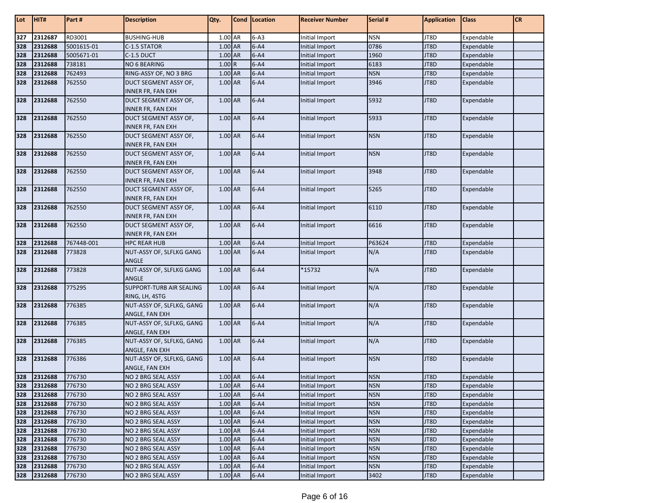| Lot | HIT#        | Part #     | <b>Description</b>                                | Qty.      | Cond   Location | <b>Receiver Number</b> | Serial #   | <b>Application</b> | <b>Class</b> | <b>CR</b> |
|-----|-------------|------------|---------------------------------------------------|-----------|-----------------|------------------------|------------|--------------------|--------------|-----------|
| 327 | 2312687     | RD3001     | <b>BUSHING-HUB</b>                                | 1.00 AR   | $6 - A3$        | Initial Import         | <b>NSN</b> | JT8D               | Expendable   |           |
| 328 | 2312688     | 5001615-01 | C-1.5 STATOR                                      | 1.00 AR   | $6 - A4$        | Initial Import         | 0786       | JT8D               | Expendable   |           |
| 328 | 2312688     | 5005671-01 | C-1.5 DUCT                                        | 1.00 AR   | $6 - A4$        | Initial Import         | 1960       | JT8D               | Expendable   |           |
| 328 | 2312688     | 738181     | NO 6 BEARING                                      | 1.00R     | $6 - A4$        | Initial Import         | 6183       | JT8D               | Expendable   |           |
| 328 | 2312688     | 762493     | RING-ASSY OF, NO 3 BRG                            | 1.00 AR   | $6 - A4$        | Initial Import         | <b>NSN</b> | JT8D               | Expendable   |           |
| 328 | 2312688     | 762550     | DUCT SEGMENT ASSY OF,                             | $1.00$ AR | $6 - A4$        | Initial Import         | 3946       | JT8D               | Expendable   |           |
|     |             |            | <b>INNER FR, FAN EXH</b>                          |           |                 |                        |            |                    |              |           |
| 328 | 2312688     | 762550     | DUCT SEGMENT ASSY OF,                             | 1.00 AR   | $6 - A4$        | Initial Import         | 5932       | JT8D               | Expendable   |           |
|     |             |            | <b>INNER FR, FAN EXH</b>                          |           |                 |                        |            |                    |              |           |
| 328 | 2312688     | 762550     | DUCT SEGMENT ASSY OF,                             | 1.00 AR   | $6-A4$          | Initial Import         | 5933       | JT8D               | Expendable   |           |
|     |             |            | <b>INNER FR, FAN EXH</b>                          |           |                 |                        |            |                    |              |           |
| 328 | 2312688     | 762550     | DUCT SEGMENT ASSY OF,                             | 1.00 AR   | $6 - A4$        | Initial Import         | <b>NSN</b> | JT8D               | Expendable   |           |
|     |             |            | <b>INNER FR, FAN EXH</b>                          |           |                 |                        |            |                    |              |           |
| 328 | 2312688     | 762550     | DUCT SEGMENT ASSY OF,                             | 1.00 AR   | $6 - A4$        | Initial Import         | <b>NSN</b> | JT8D               | Expendable   |           |
|     |             |            | <b>INNER FR, FAN EXH</b>                          |           |                 |                        |            |                    |              |           |
| 328 | 2312688     | 762550     | DUCT SEGMENT ASSY OF,                             | 1.00 AR   | $6 - A4$        | Initial Import         | 3948       | JT8D               | Expendable   |           |
| 328 | 2312688     | 762550     | <b>INNER FR, FAN EXH</b>                          | 1.00 AR   | $6 - A4$        | Initial Import         | 5265       | JT8D               | Expendable   |           |
|     |             |            | DUCT SEGMENT ASSY OF,<br><b>INNER FR, FAN EXH</b> |           |                 |                        |            |                    |              |           |
| 328 | 2312688     | 762550     | DUCT SEGMENT ASSY OF,                             | 1.00 AR   | $6 - A4$        | Initial Import         | 6110       | JT8D               | Expendable   |           |
|     |             |            | <b>INNER FR, FAN EXH</b>                          |           |                 |                        |            |                    |              |           |
| 328 | 2312688     | 762550     | DUCT SEGMENT ASSY OF,                             | 1.00 AR   | $6 - A4$        | Initial Import         | 6616       | JT8D               | Expendable   |           |
|     |             |            | <b>INNER FR, FAN EXH</b>                          |           |                 |                        |            |                    |              |           |
| 328 | 2312688     | 767448-001 | <b>HPC REAR HUB</b>                               | 1.00 AR   | $6 - A4$        | Initial Import         | P63624     | JT8D               | Expendable   |           |
| 328 | 2312688     | 773828     | NUT-ASSY OF, SLFLKG GANG                          | 1.00 AR   | $6 - A4$        | Initial Import         | N/A        | JT8D               | Expendable   |           |
|     |             |            | ANGLE                                             |           |                 |                        |            |                    |              |           |
| 328 | 2312688     | 773828     | NUT-ASSY OF, SLFLKG GANG                          | 1.00 AR   | $6 - A4$        | *15732                 | N/A        | JT8D               | Expendable   |           |
|     |             |            | ANGLE                                             |           |                 |                        |            |                    |              |           |
| 328 | 2312688     | 775295     | <b>SUPPORT-TURB AIR SEALING</b>                   | 1.00 AR   | $6 - A4$        | Initial Import         | N/A        | JT8D               | Expendable   |           |
|     |             |            | RING, LH, 4STG                                    |           |                 |                        |            |                    |              |           |
| 328 | 2312688     | 776385     | NUT-ASSY OF, SLFLKG, GANG                         | 1.00 AR   | $6-A4$          | Initial Import         | N/A        | JT8D               | Expendable   |           |
|     |             |            | ANGLE, FAN EXH                                    |           |                 |                        |            |                    |              |           |
| 328 | 2312688     | 776385     | NUT-ASSY OF, SLFLKG, GANG                         | 1.00 AR   | $6 - A4$        | Initial Import         | N/A        | JT8D               | Expendable   |           |
| 328 | 2312688     | 776385     | ANGLE, FAN EXH<br>NUT-ASSY OF, SLFLKG, GANG       | 1.00 AR   | $6 - A4$        | Initial Import         | N/A        | JT8D               | Expendable   |           |
|     |             |            | ANGLE, FAN EXH                                    |           |                 |                        |            |                    |              |           |
| 328 | 2312688     | 776386     | NUT-ASSY OF, SLFLKG, GANG                         | 1.00 AR   | $6 - A4$        | Initial Import         | <b>NSN</b> | JT8D               | Expendable   |           |
|     |             |            | ANGLE, FAN EXH                                    |           |                 |                        |            |                    |              |           |
| 328 | 2312688     | 776730     | NO 2 BRG SEAL ASSY                                | $1.00$ AR | $6 - A4$        | Initial Import         | <b>NSN</b> | JT8D               | Expendable   |           |
| 328 | 2312688     | 776730     | NO 2 BRG SEAL ASSY                                | 1.00 AR   | $6 - A4$        | Initial Import         | <b>NSN</b> | JT8D               | Expendable   |           |
| 328 | 2312688     | 776730     | NO 2 BRG SEAL ASSY                                | $1.00$ AR | $6 - A4$        | Initial Import         | <b>NSN</b> | JT8D               | Expendable   |           |
| 328 | 2312688     | 776730     | NO 2 BRG SEAL ASSY                                | 1.00 AR   | $6 - A4$        | Initial Import         | <b>NSN</b> | JT8D               | Expendable   |           |
| 328 | 2312688     | 776730     | NO 2 BRG SEAL ASSY                                | 1.00 AR   | $6 - A4$        | Initial Import         | <b>NSN</b> | JT8D               | Expendable   |           |
| 328 | 2312688     | 776730     | NO 2 BRG SEAL ASSY                                | 1.00 AR   | $6 - A4$        | Initial Import         | <b>NSN</b> | JT8D               | Expendable   |           |
| 328 | 2312688     | 776730     | NO 2 BRG SEAL ASSY                                | 1.00 AR   | $6 - A4$        | Initial Import         | <b>NSN</b> | JT8D               | Expendable   |           |
| 328 | 2312688     | 776730     | NO 2 BRG SEAL ASSY                                | 1.00 AR   | $6 - A4$        | Initial Import         | <b>NSN</b> | JT8D               | Expendable   |           |
| 328 | 2312688     | 776730     | NO 2 BRG SEAL ASSY                                | 1.00 AR   | $6 - A4$        | Initial Import         | <b>NSN</b> | JT8D               | Expendable   |           |
| 328 | 2312688     | 776730     | NO 2 BRG SEAL ASSY                                | 1.00 AR   | $6 - A4$        | Initial Import         | <b>NSN</b> | JT8D               | Expendable   |           |
| 328 | 2312688     | 776730     | NO 2 BRG SEAL ASSY                                | 1.00 AR   | $6 - A4$        | Initial Import         | <b>NSN</b> | JT8D               | Expendable   |           |
|     | 328 2312688 | 776730     | NO 2 BRG SEAL ASSY                                | 1.00 AR   | $6 - A4$        | Initial Import         | 3402       | JT8D               | Expendable   |           |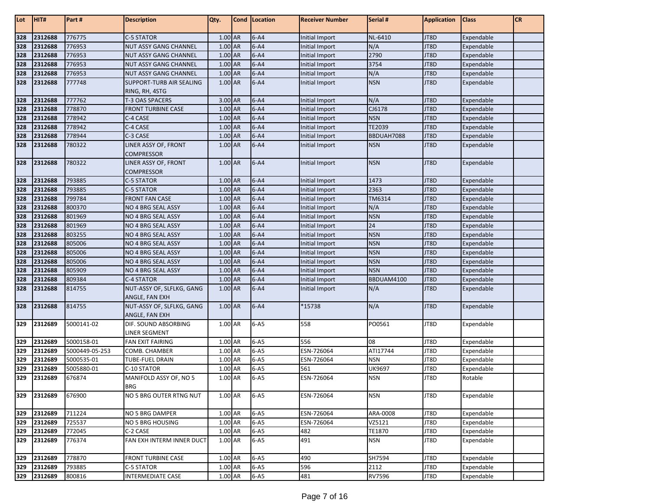| Lot | HIT#    | Part #         | <b>Description</b>                 | Qty.      | Cond   Location | <b>Receiver Number</b> | Serial #   | <b>Application</b> | <b>Class</b> | <b>CR</b> |
|-----|---------|----------------|------------------------------------|-----------|-----------------|------------------------|------------|--------------------|--------------|-----------|
| 328 | 2312688 | 776775         | <b>C-5 STATOR</b>                  | 1.00 AR   | $6 - A4$        | Initial Import         | NL-6410    | JT8D               | Expendable   |           |
| 328 | 2312688 | 776953         | <b>NUT ASSY GANG CHANNEL</b>       | $1.00$ AR | $6 - A4$        | Initial Import         | N/A        | JT8D               | Expendable   |           |
| 328 | 2312688 | 776953         | NUT ASSY GANG CHANNEL              | 1.00 AR   | $6 - A4$        | Initial Import         | 2790       | JT8D               | Expendable   |           |
| 328 | 2312688 | 776953         | NUT ASSY GANG CHANNEL              | 1.00 AR   | $6 - A4$        | Initial Import         | 3754       | JT8D               | Expendable   |           |
| 328 | 2312688 | 776953         | NUT ASSY GANG CHANNEL              | 1.00 AR   | $6 - A4$        | Initial Import         | N/A        | JT8D               | Expendable   |           |
| 328 | 2312688 | 777748         | <b>SUPPORT-TURB AIR SEALING</b>    | 1.00 AR   | $6 - A4$        | Initial Import         | <b>NSN</b> | JT8D               | Expendable   |           |
|     |         |                | RING, RH, 4STG                     |           |                 |                        |            |                    |              |           |
| 328 | 2312688 | 777762         | T-3 OAS SPACERS                    | 3.00 AR   | $6 - A4$        | Initial Import         | N/A        | JT8D               | Expendable   |           |
| 328 | 2312688 | 778870         | <b>FRONT TURBINE CASE</b>          | 1.00 AR   | $6 - A4$        | Initial Import         | CJ6178     | JT8D               | Expendable   |           |
| 328 | 2312688 | 778942         | C-4 CASE                           | $1.00$ AR | $6 - A4$        | Initial Import         | <b>NSN</b> | JT8D               | Expendable   |           |
| 328 | 2312688 | 778942         | C-4 CASE                           | 1.00 AR   | $6 - A4$        | <b>Initial Import</b>  | TE2039     | JT8D               | Expendable   |           |
| 328 | 2312688 | 778944         | C-3 CASE                           | 1.00 AR   | $6 - A4$        | Initial Import         | BBDUAH7088 | JT8D               | Expendable   |           |
| 328 | 2312688 | 780322         | LINER ASSY OF, FRONT               | 1.00 AR   | $6 - A4$        | Initial Import         | <b>NSN</b> | JT8D               | Expendable   |           |
|     |         |                | COMPRESSOR                         |           |                 |                        |            |                    |              |           |
| 328 | 2312688 | 780322         | LINER ASSY OF, FRONT<br>COMPRESSOR | 1.00 AR   | $6-A4$          | Initial Import         | <b>NSN</b> | JT8D               | Expendable   |           |
| 328 | 2312688 | 793885         | C-5 STATOR                         | $1.00$ AR | $6 - A4$        | Initial Import         | 1473       | JT8D               | Expendable   |           |
| 328 | 2312688 | 793885         | C-5 STATOR                         | 1.00 AR   | $6 - A4$        | Initial Import         | 2363       | JT8D               | Expendable   |           |
| 328 | 2312688 | 799784         | <b>FRONT FAN CASE</b>              | $1.00$ AR | $6 - A4$        | Initial Import         | TM6314     | JT8D               | Expendable   |           |
| 328 | 2312688 | 800370         | NO 4 BRG SEAL ASSY                 | $1.00$ AR | $6 - A4$        | Initial Import         | N/A        | JT8D               | Expendable   |           |
| 328 | 2312688 | 801969         | NO 4 BRG SEAL ASSY                 | 1.00 AR   | $6 - A4$        | Initial Import         | <b>NSN</b> | JT8D               | Expendable   |           |
| 328 | 2312688 | 801969         | NO 4 BRG SEAL ASSY                 | 1.00 AR   | $6 - A4$        | Initial Import         | 24         | JT8D               | Expendable   |           |
| 328 | 2312688 | 803255         | <b>NO 4 BRG SEAL ASSY</b>          | $1.00$ AR | $6 - A4$        | Initial Import         | <b>NSN</b> | JT8D               | Expendable   |           |
| 328 | 2312688 | 805006         | NO 4 BRG SEAL ASSY                 | 1.00 AR   | $6 - A4$        | Initial Import         | <b>NSN</b> | JT8D               | Expendable   |           |
| 328 | 2312688 | 805006         | NO 4 BRG SEAL ASSY                 | 1.00 AR   | $6 - A4$        | Initial Import         | <b>NSN</b> | JT8D               | Expendable   |           |
| 328 | 2312688 | 805006         | NO 4 BRG SEAL ASSY                 | 1.00 AR   | $6 - A4$        | Initial Import         | <b>NSN</b> | JT8D               | Expendable   |           |
| 328 | 2312688 | 805909         | NO 4 BRG SEAL ASSY                 | 1.00 AR   | $6 - A4$        | Initial Import         | <b>NSN</b> | JT8D               | Expendable   |           |
| 328 | 2312688 | 809384         | C-4 STATOR                         | 1.00 AR   | $6 - A4$        | Initial Import         | BBDUAM4100 | JT8D               | Expendable   |           |
| 328 | 2312688 | 814755         | NUT-ASSY OF, SLFLKG, GANG          | 1.00 AR   | $6 - A4$        | Initial Import         | N/A        | JT8D               | Expendable   |           |
|     |         |                | ANGLE, FAN EXH                     |           |                 |                        |            |                    |              |           |
| 328 | 2312688 | 814755         | NUT-ASSY OF, SLFLKG, GANG          | 1.00 AR   | $6 - A4$        | *15738                 | N/A        | JT8D               | Expendable   |           |
|     |         |                | ANGLE, FAN EXH                     |           |                 |                        |            |                    |              |           |
| 329 | 2312689 | 5000141-02     | DIF. SOUND ABSORBING               | 1.00 AR   | $6 - A5$        | 558                    | PO0561     | JT8D               | Expendable   |           |
| 329 | 2312689 | 5000158-01     | LINER SEGMENT                      | 1.00 AR   | $6 - A5$        | 556                    | 08         | JT8D               | Expendable   |           |
| 329 | 2312689 | 5000449-05-253 | FAN EXIT FAIRING<br>COMB. CHAMBER  | 1.00 AR   | $6-AS$          | ESN-726064             | ATI17744   | JT8D               | Expendable   |           |
| 329 | 2312689 | 5000535-01     |                                    | 1.00 AR   | $6 - A5$        | ESN-726064             | <b>NSN</b> | JT8D               | Expendable   |           |
| 329 | 2312689 | 5005880-01     | TUBE-FUEL DRAIN<br>C-10 STATOR     | 1.00 AR   | $6 - A5$        | 561                    | UK9697     | JT8D               | Expendable   |           |
| 329 | 2312689 | 676874         | MANIFOLD ASSY OF, NO 5             | 1.00 AR   | $6-AS$          | ESN-726064             | <b>NSN</b> | JT8D               | Rotable      |           |
|     |         |                | <b>BRG</b>                         |           |                 |                        |            |                    |              |           |
| 329 | 2312689 | 676900         | NO 5 BRG OUTER RTNG NUT            | 1.00 AR   | $6-AS$          | ESN-726064             | <b>NSN</b> | JT8D               | Expendable   |           |
| 329 | 2312689 | 711224         | NO 5 BRG DAMPER                    | 1.00 AR   | $6-A5$          | ESN-726064             | ARA-0008   | JT8D               | Expendable   |           |
| 329 | 2312689 | 725537         | <b>NO 5 BRG HOUSING</b>            | 1.00 AR   | $6 - A5$        | ESN-726064             | VZ5121     | JT8D               | Expendable   |           |
| 329 | 2312689 | 772045         | C-2 CASE                           | 1.00 AR   | $6 - A5$        | 482                    | TE1870     | JT8D               | Expendable   |           |
| 329 | 2312689 | 776374         | FAN EXH INTERM INNER DUCT          | 1.00 AR   | $6 - A5$        | 491                    | <b>NSN</b> | JT8D               | Expendable   |           |
|     |         |                |                                    |           |                 |                        |            |                    |              |           |
| 329 | 2312689 | 778870         | <b>FRONT TURBINE CASE</b>          | 1.00 AR   | $6 - A5$        | 490                    | SH7594     | JT8D               | Expendable   |           |
| 329 | 2312689 | 793885         | C-5 STATOR                         | 1.00 AR   | $6 - A5$        | 596                    | 2112       | JT8D               | Expendable   |           |
| 329 | 2312689 | 800816         | <b>INTERMEDIATE CASE</b>           | 1.00 AR   | $6 - A5$        | 481                    | RV7596     | JT8D               | Expendable   |           |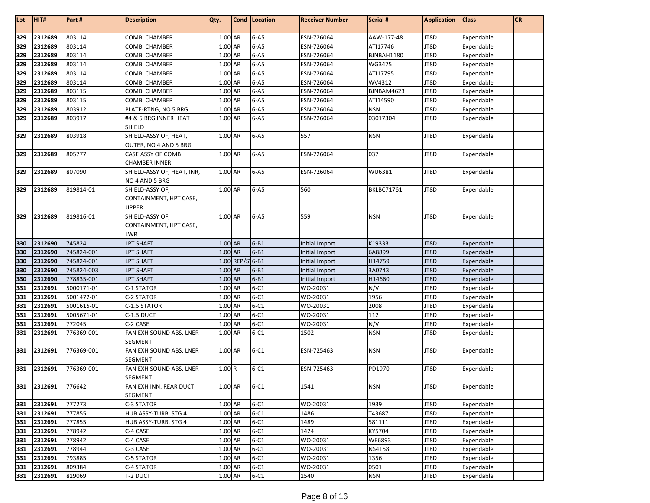| Lot        | HIT#               | Part #                   | <b>Description</b>                          | Qty.               |                 | Cond   Location      | <b>Receiver Number</b> | Serial #          | <b>Application</b> | <b>Class</b>             | <b>CR</b> |
|------------|--------------------|--------------------------|---------------------------------------------|--------------------|-----------------|----------------------|------------------------|-------------------|--------------------|--------------------------|-----------|
| 329        | 2312689            | 803114                   | COMB. CHAMBER                               | $1.00$ AR          |                 | $6 - A5$             | ESN-726064             | AAW-177-48        | JT8D               | Expendable               |           |
| 329        | 2312689            | 803114                   | COMB. CHAMBER                               | 1.00 AR            |                 | $6 - A5$             | ESN-726064             | ATI17746          | JT8D               | Expendable               |           |
| 329        | 2312689            | 803114                   | COMB. CHAMBER                               | $1.00$ AR          |                 | $6 - A5$             | ESN-726064             | BJNBAH1180        | JT8D               | Expendable               |           |
| 329        | 2312689            | 803114                   | COMB. CHAMBER                               | 1.00 AR            |                 | $6 - A5$             | ESN-726064             | WG3475            | JT8D               | Expendable               |           |
| 329        | 2312689            | 803114                   | COMB. CHAMBER                               | 1.00 AR            |                 | $6 - A5$             | ESN-726064             | ATI17795          | JT8D               | Expendable               |           |
| 329        | 2312689            | 803114                   | COMB. CHAMBER                               | 1.00 AR            |                 | $6 - A5$             | ESN-726064             | WV4312            | JT8D               | Expendable               |           |
| 329        | 2312689            | 803115                   | COMB. CHAMBER                               | 1.00 AR            |                 | $6 - A5$             | ESN-726064             | BJNBAM4623        | JT8D               | Expendable               |           |
| 329        | 2312689            | 803115                   | COMB. CHAMBER                               | 1.00 AR            |                 | $6 - A5$             | ESN-726064             | ATI14590          | JT8D               | Expendable               |           |
| 329        | 2312689            | 803912                   | PLATE-RTNG, NO 5 BRG                        | 1.00 AR            |                 | $6 - A5$             | ESN-726064             | <b>NSN</b>        | JT8D               | Expendable               |           |
| 329        | 2312689            | 803917                   | #4 & 5 BRG INNER HEAT<br><b>SHIELD</b>      | 1.00 AR            |                 | $6 - A5$             | ESN-726064             | 03017304          | JT8D               | Expendable               |           |
| 329        | 2312689            | 803918                   | SHIELD-ASSY OF, HEAT,                       | 1.00 AR            |                 | $6 - A5$             | 557                    | <b>NSN</b>        | JT8D               | Expendable               |           |
|            |                    |                          | OUTER, NO 4 AND 5 BRG                       |                    |                 |                      |                        |                   |                    |                          |           |
| 329        | 2312689            | 805777                   | CASE ASSY OF COMB                           | 1.00 AR            |                 | $6 - A5$             | ESN-726064             | 037               | JT8D               | Expendable               |           |
| 329        | 2312689            | 807090                   | CHAMBER INNER<br>SHIELD-ASSY OF, HEAT, INR, | 1.00 AR            |                 | $6 - A5$             | ESN-726064             | WU6381            | JT8D               | Expendable               |           |
|            |                    |                          | NO 4 AND 5 BRG                              |                    |                 |                      |                        |                   |                    |                          |           |
| 329        | 2312689            | 819814-01                | SHIELD-ASSY OF,                             | 1.00 AR            |                 | $6 - A5$             | 560                    | <b>BKLBC71761</b> | JT8D               | Expendable               |           |
|            |                    |                          | CONTAINMENT, HPT CASE,<br><b>UPPER</b>      |                    |                 |                      |                        |                   |                    |                          |           |
| 329        | 2312689            | 819816-01                | SHIELD-ASSY OF,                             | 1.00 AR            |                 | $6 - A5$             | 559                    | <b>NSN</b>        | JT8D               | Expendable               |           |
|            |                    |                          | CONTAINMENT, HPT CASE,                      |                    |                 |                      |                        |                   |                    |                          |           |
|            |                    |                          | <b>LWR</b>                                  |                    |                 |                      |                        |                   |                    |                          |           |
| 330        | 2312690            | 745824                   | <b>LPT SHAFT</b>                            | 1.00 AR            |                 | $6 - B1$             | Initial Import         | K19333            | JT8D               | Expendable               |           |
| 330        | 2312690            | 745824-001               | <b>LPT SHAFT</b>                            | 1.00 AR            |                 | $6 - B1$             | Initial Import         | 6A8899            | JT8D               | Expendable               |           |
| 330        | 2312690            | 745824-001               | LPT SHAFT                                   |                    | 1.00 REP/S 6-B1 |                      | Initial Import         | H14759            | JT8D               | Expendable               |           |
| 330        | 2312690            | 745824-003               | <b>LPT SHAFT</b>                            | 1.00 AR            |                 | $6 - B1$             | Initial Import         | 3A0743            | JT8D               | Expendable               |           |
| 330        | 2312690            | 778835-001               | <b>LPT SHAFT</b>                            | 1.00 AR            |                 | $6 - B1$             | Initial Import         | H14660            | JT8D               | Expendable               |           |
| 331        | 2312691            | 5000171-01               | C-1 STATOR                                  | 1.00 AR            |                 | $6 - C1$             | WO-20031               | N/V               | JT8D               | Expendable               |           |
| 331        | 2312691            | 5001472-01               | C-2 STATOR                                  | 1.00 AR<br>1.00 AR |                 | $6 - C1$<br>$6 - C1$ | WO-20031               | 1956<br>2008      | JT8D               | Expendable               |           |
| 331<br>331 | 2312691<br>2312691 | 5001615-01<br>5005671-01 | C-1.5 STATOR<br>C-1.5 DUCT                  | 1.00 AR            |                 | $6 - C1$             | WO-20031<br>WO-20031   | 112               | JT8D<br>JT8D       | Expendable<br>Expendable |           |
| 331        | 2312691            | 772045                   | C-2 CASE                                    | 1.00 AR            |                 | $6 - C1$             | WO-20031               | N/V               | JT8D               | Expendable               |           |
| 331        | 2312691            | 776369-001               | FAN EXH SOUND ABS. LNER                     | 1.00 AR            |                 | $6 - C1$             | 1502                   | <b>NSN</b>        | JT8D               | Expendable               |           |
|            |                    |                          | <b>SEGMENT</b>                              |                    |                 |                      |                        |                   |                    |                          |           |
| 331        | 2312691            | 776369-001               | FAN EXH SOUND ABS. LNER<br><b>SEGMENT</b>   | 1.00 AR            |                 | $6-C1$               | ESN-725463             | <b>NSN</b>        | JT8D               | Expendable               |           |
| 331        | 2312691            | 776369-001               | FAN EXH SOUND ABS. LNER                     | 1.00R              |                 | $6-C1$               | ESN-725463             | PD1970            | JT8D               | Expendable               |           |
|            |                    |                          | <b>SEGMENT</b>                              |                    |                 |                      |                        |                   |                    |                          |           |
|            | 331 2312691        | 776642                   | FAN EXH INN. REAR DUCT                      | 1.00 AR            |                 | $6 - C1$             | 1541                   | <b>NSN</b>        | JT8D               | Expendable               |           |
|            |                    |                          | <b>SEGMENT</b>                              |                    |                 |                      |                        |                   |                    |                          |           |
| 331        | 2312691            | 777273                   | C-3 STATOR                                  | 1.00 AR            |                 | $6 - C1$             | WO-20031               | 1939              | JT8D               | Expendable               |           |
| 331        | 2312691            | 777855                   | HUB ASSY-TURB, STG 4                        | 1.00 AR            |                 | $6 - C1$             | 1486                   | T43687            | JT8D               | Expendable               |           |
| 331        | 2312691            | 777855                   | HUB ASSY-TURB, STG 4                        | 1.00 AR            |                 | $6 - C1$             | 1489                   | 581111            | JT8D               | Expendable               |           |
| 331        | 2312691            | 778942                   | C-4 CASE                                    | 1.00 AR            |                 | $6 - C1$             | 1424                   | KY5704            | JT8D               | Expendable               |           |
| 331        | 2312691            | 778942                   | C-4 CASE                                    | 1.00 AR            |                 | $6 - C1$             | WO-20031               | WE6893            | JT8D               | Expendable               |           |
| 331        | 2312691            | 778944                   | C-3 CASE                                    | 1.00 AR            |                 | $6 - C1$             | WO-20031               | NS4158            | JT8D               | Expendable               |           |
| 331        | 2312691            | 793885                   | C-5 STATOR                                  | 1.00 AR            |                 | $6-C1$               | WO-20031               | 1356              | JT8D               | Expendable               |           |
| 331        | 2312691            | 809384                   | C-4 STATOR                                  | 1.00 AR            |                 | $6 - C1$             | WO-20031               | 0501              | JT8D               | Expendable               |           |
|            | 331 2312691        | 819069                   | T-2 DUCT                                    | 1.00 AR            |                 | $6 - C1$             | 1540                   | <b>NSN</b>        | JT8D               | Expendable               |           |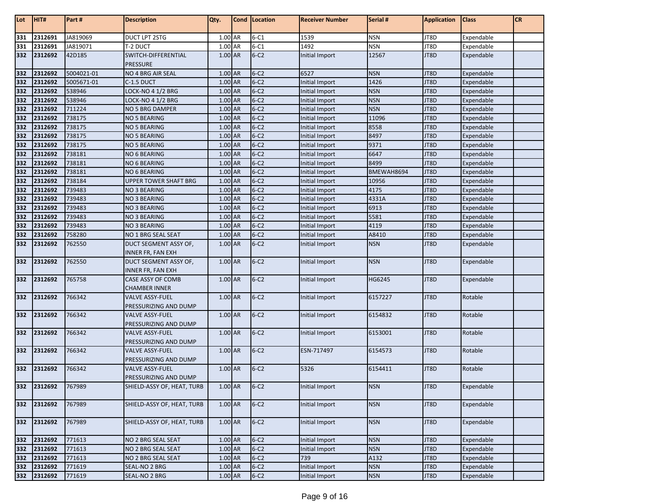| Lot | HIT#        | Part#      | <b>Description</b>                              | Qty.      | Cond   Location | <b>Receiver Number</b> | Serial #   | <b>Application</b> | <b>Class</b> | <b>CR</b> |
|-----|-------------|------------|-------------------------------------------------|-----------|-----------------|------------------------|------------|--------------------|--------------|-----------|
| 331 | 2312691     | JA819069   | <b>DUCT LPT 2STG</b>                            | 1.00 AR   | $6 - C1$        | 1539                   | <b>NSN</b> | JT8D               | Expendable   |           |
| 331 | 2312691     | JA819071   | T-2 DUCT                                        | 1.00 AR   | $6 - C1$        | 1492                   | <b>NSN</b> | JT8D               | Expendable   |           |
| 332 | 2312692     | 42D185     | SWITCH-DIFFERENTIAL<br><b>PRESSURE</b>          | 1.00 AR   | $6-C2$          | Initial Import         | 12567      | JT8D               | Expendable   |           |
| 332 | 2312692     | 5004021-01 | <b>NO 4 BRG AIR SEAL</b>                        | 1.00 AR   | $6-C2$          | 6527                   | <b>NSN</b> | JT8D               | Expendable   |           |
| 332 | 2312692     | 5005671-01 | C-1.5 DUCT                                      | 1.00 AR   | $6-C2$          | Initial Import         | 1426       | JT8D               | Expendable   |           |
| 332 | 2312692     | 538946     | <b>LOCK-NO 4 1/2 BRG</b>                        | 1.00 AR   | $6-C2$          | Initial Import         | <b>NSN</b> | JT8D               | Expendable   |           |
| 332 | 2312692     | 538946     | <b>LOCK-NO 4 1/2 BRG</b>                        | 1.00 AR   | $6-C2$          | Initial Import         | <b>NSN</b> | JT8D               | Expendable   |           |
| 332 | 2312692     | 711224     | NO 5 BRG DAMPER                                 | 1.00 AR   | $6-C2$          | Initial Import         | <b>NSN</b> | JT8D               | Expendable   |           |
| 332 | 2312692     | 738175     | <b>NO 5 BEARING</b>                             | 1.00 AR   | $6-C2$          | Initial Import         | 11096      | JT8D               | Expendable   |           |
| 332 | 2312692     | 738175     | <b>NO 5 BEARING</b>                             | 1.00 AR   | $6-C2$          | Initial Import         | 8558       | JT8D               | Expendable   |           |
| 332 | 2312692     | 738175     | <b>NO 5 BEARING</b>                             | 1.00 AR   | $6-C2$          | Initial Import         | 8497       | JT8D               | Expendable   |           |
| 332 | 2312692     | 738175     | <b>NO 5 BEARING</b>                             | 1.00 AR   | $6-C2$          | Initial Import         | 9371       | JT8D               | Expendable   |           |
| 332 | 2312692     | 738181     | NO 6 BEARING                                    | 1.00 AR   | $6-C2$          | Initial Import         | 6647       | JT8D               | Expendable   |           |
| 332 | 2312692     | 738181     | NO 6 BEARING                                    | 1.00 AR   | $6-C2$          | Initial Import         | 8499       | JT8D               | Expendable   |           |
| 332 | 2312692     | 738181     | NO 6 BEARING                                    | 1.00 AR   | $6-C2$          | Initial Import         | BMEWAH8694 | JT8D               | Expendable   |           |
| 332 | 2312692     | 738184     | <b>UPPER TOWER SHAFT BRG</b>                    | $1.00$ AR | $6-C2$          | Initial Import         | 10956      | JT8D               | Expendable   |           |
| 332 | 2312692     | 739483     | <b>NO 3 BEARING</b>                             | $1.00$ AR | $6-C2$          | Initial Import         | 4175       | JT8D               | Expendable   |           |
| 332 | 2312692     | 739483     | <b>NO 3 BEARING</b>                             | 1.00 AR   | $6-C2$          | Initial Import         | 4331A      | JT8D               | Expendable   |           |
| 332 | 2312692     | 739483     | <b>NO 3 BEARING</b>                             | 1.00 AR   | $6-C2$          | Initial Import         | 6913       | JT8D               | Expendable   |           |
| 332 | 2312692     | 739483     | <b>NO 3 BEARING</b>                             | 1.00 AR   | $6-C2$          | Initial Import         | 5581       | JT8D               | Expendable   |           |
| 332 | 2312692     | 739483     | <b>NO 3 BEARING</b>                             | 1.00 AR   | $6-C2$          | Initial Import         | 4119       | JT8D               | Expendable   |           |
| 332 | 2312692     | 758280     | NO 1 BRG SEAL SEAT                              | 1.00 AR   | $6-C2$          | Initial Import         | A8410      | JT8D               | Expendable   |           |
| 332 | 2312692     | 762550     | DUCT SEGMENT ASSY OF,                           | 1.00 AR   | $6-C2$          | Initial Import         | <b>NSN</b> | JT8D               | Expendable   |           |
|     |             |            | INNER FR, FAN EXH                               |           |                 |                        |            |                    |              |           |
| 332 | 2312692     | 762550     | DUCT SEGMENT ASSY OF,<br>INNER FR, FAN EXH      | 1.00 AR   | $6-C2$          | Initial Import         | <b>NSN</b> | JT8D               | Expendable   |           |
| 332 | 2312692     | 765758     | CASE ASSY OF COMB<br><b>CHAMBER INNER</b>       | 1.00 AR   | $6-C2$          | Initial Import         | HG6245     | JT8D               | Expendable   |           |
| 332 | 2312692     | 766342     | <b>VALVE ASSY-FUEL</b><br>PRESSURIZING AND DUMP | 1.00 AR   | $6-C2$          | Initial Import         | 6157227    | JT8D               | Rotable      |           |
| 332 | 2312692     | 766342     | <b>VALVE ASSY-FUEL</b><br>PRESSURIZING AND DUMP | 1.00 AR   | $6-C2$          | Initial Import         | 6154832    | JT8D               | Rotable      |           |
| 332 | 2312692     | 766342     | <b>VALVE ASSY-FUEL</b><br>PRESSURIZING AND DUMP | 1.00 AR   | $6-C2$          | Initial Import         | 6153001    | JT8D               | Rotable      |           |
| 332 | 2312692     | 766342     | <b>VALVE ASSY-FUEL</b><br>PRESSURIZING AND DUMP | 1.00 AR   | $6-C2$          | ESN-717497             | 6154573    | JT8D               | Rotable      |           |
| 332 | 2312692     | 766342     | <b>VALVE ASSY-FUEL</b><br>PRESSURIZING AND DUMP | 1.00 AR   | $6-C2$          | 5326                   | 6154411    | JT8D               | Rotable      |           |
|     | 332 2312692 | 767989     | SHIELD-ASSY OF, HEAT, TURB                      | 1.00 AR   | $6-C2$          | Initial Import         | <b>NSN</b> | JT8D               | Expendable   |           |
| 332 | 2312692     | 767989     | SHIELD-ASSY OF, HEAT, TURB                      | $1.00$ AR | $6-C2$          | Initial Import         | <b>NSN</b> | JT8D               | Expendable   |           |
| 332 | 2312692     | 767989     | SHIELD-ASSY OF, HEAT, TURB                      | 1.00 AR   | $6-C2$          | Initial Import         | <b>NSN</b> | JT8D               | Expendable   |           |
| 332 | 2312692     | 771613     | NO 2 BRG SEAL SEAT                              | 1.00 AR   | $6-C2$          | Initial Import         | <b>NSN</b> | JT8D               | Expendable   |           |
| 332 | 2312692     | 771613     | NO 2 BRG SEAL SEAT                              | 1.00 AR   | $6-C2$          | Initial Import         | <b>NSN</b> | JT8D               | Expendable   |           |
| 332 | 2312692     | 771613     | NO 2 BRG SEAL SEAT                              | 1.00 AR   | $6-C2$          | 739                    | A132       | JT8D               | Expendable   |           |
| 332 | 2312692     | 771619     | SEAL-NO 2 BRG                                   | 1.00 AR   | $6-C2$          | Initial Import         | <b>NSN</b> | JT8D               | Expendable   |           |
|     | 332 2312692 | 771619     | SEAL-NO 2 BRG                                   | $1.00$ AR | $6-C2$          | Initial Import         | <b>NSN</b> | JT8D               | Expendable   |           |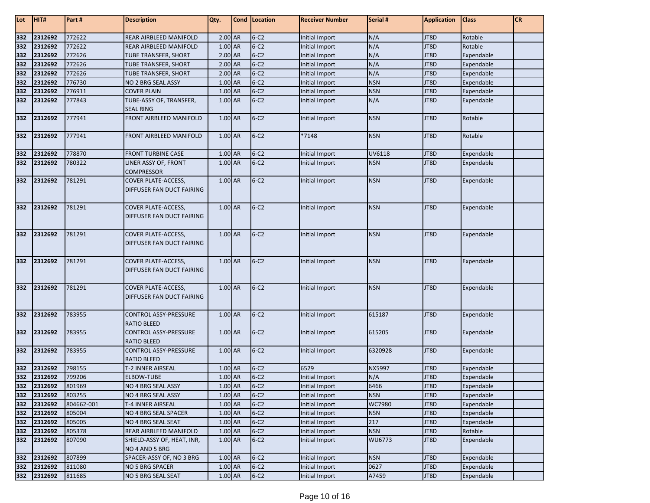| Lot | HIT#                   | Part#            | <b>Description</b>                                      | Qty.               | <b>Cond Location</b> | <b>Receiver Number</b> | Serial #           | <b>Application</b> | <b>Class</b>             | <b>CR</b> |
|-----|------------------------|------------------|---------------------------------------------------------|--------------------|----------------------|------------------------|--------------------|--------------------|--------------------------|-----------|
| 332 | 2312692                | 772622           | REAR AIRBLEED MANIFOLD                                  | $2.00$ AR          | $6-C2$               | Initial Import         | N/A                | JT8D               | Rotable                  |           |
| 332 | 2312692                | 772622           | REAR AIRBLEED MANIFOLD                                  | 1.00 AR            | $6-C2$               | Initial Import         | N/A                | JT8D               | Rotable                  |           |
| 332 | 2312692                | 772626           | TUBE TRANSFER, SHORT                                    | 2.00 AR            | $6-C2$               | Initial Import         | N/A                | JT8D               | Expendable               |           |
| 332 | 2312692                | 772626           | TUBE TRANSFER, SHORT                                    | 2.00 AR            | $6-C2$               | Initial Import         | N/A                | JT8D               | Expendable               |           |
| 332 | 2312692                | 772626           | TUBE TRANSFER, SHORT                                    | 2.00 AR            | $6-C2$               | Initial Import         | N/A                | JT8D               | Expendable               |           |
| 332 | 2312692                | 776730           | NO 2 BRG SEAL ASSY                                      | 1.00 AR            | $6-C2$               | Initial Import         | <b>NSN</b>         | JT8D               | Expendable               |           |
| 332 | 2312692                | 776911           | <b>COVER PLAIN</b>                                      | 1.00 AR            | $6-C2$               | Initial Import         | <b>NSN</b>         | JT8D               | Expendable               |           |
| 332 | 2312692                | 777843           | TUBE-ASSY OF, TRANSFER,<br><b>SEAL RING</b>             | 1.00 AR            | $6-C2$               | Initial Import         | N/A                | JT8D               | Expendable               |           |
| 332 | 2312692                | 777941           | FRONT AIRBLEED MANIFOLD                                 | 1.00 AR            | $6-C2$               | Initial Import         | <b>NSN</b>         | JT8D               | Rotable                  |           |
| 332 | 2312692                | 777941           | FRONT AIRBLEED MANIFOLD                                 | 1.00 AR            | $6-C2$               | *7148                  | <b>NSN</b>         | JT8D               | Rotable                  |           |
| 332 | 2312692                | 778870           | <b>FRONT TURBINE CASE</b>                               | 1.00 AR            | $6-C2$               | Initial Import         | UV6118             | JT8D               | Expendable               |           |
| 332 | 2312692                | 780322           | LINER ASSY OF, FRONT<br><b>COMPRESSOR</b>               | 1.00 AR            | $6-C2$               | Initial Import         | <b>NSN</b>         | JT8D               | Expendable               |           |
| 332 | 2312692                | 781291           | <b>COVER PLATE-ACCESS,</b><br>DIFFUSER FAN DUCT FAIRING | 1.00 AR            | $6-C2$               | Initial Import         | <b>NSN</b>         | JT8D               | Expendable               |           |
| 332 | 2312692                | 781291           | <b>COVER PLATE-ACCESS,</b><br>DIFFUSER FAN DUCT FAIRING | 1.00 AR            | $6-C2$               | Initial Import         | <b>NSN</b>         | JT8D               | Expendable               |           |
| 332 | 2312692                | 781291           | COVER PLATE-ACCESS,<br>DIFFUSER FAN DUCT FAIRING        | 1.00 AR            | $6-C2$               | Initial Import         | <b>NSN</b>         | JT8D               | Expendable               |           |
| 332 | 2312692                | 781291           | <b>COVER PLATE-ACCESS,</b><br>DIFFUSER FAN DUCT FAIRING | 1.00 AR            | $6-C2$               | Initial Import         | <b>NSN</b>         | JT8D               | Expendable               |           |
| 332 | 2312692                | 781291           | COVER PLATE-ACCESS,<br>DIFFUSER FAN DUCT FAIRING        | 1.00 AR            | $6-C2$               | Initial Import         | <b>NSN</b>         | JT8D               | Expendable               |           |
| 332 | 2312692                | 783955           | <b>CONTROL ASSY-PRESSURE</b><br><b>RATIO BLEED</b>      | 1.00 AR            | $6-C2$               | Initial Import         | 615187             | JT8D               | Expendable               |           |
| 332 | 2312692                | 783955           | CONTROL ASSY-PRESSURE<br><b>RATIO BLEED</b>             | 1.00 AR            | $6-C2$               | Initial Import         | 615205             | JT8D               | Expendable               |           |
| 332 | 2312692                | 783955           | CONTROL ASSY-PRESSURE<br><b>RATIO BLEED</b>             | 1.00 AR            | $6-C2$               | Initial Import         | 6320928            | JT8D               | Expendable               |           |
| 332 | 2312692                | 798155           | T-2 INNER AIRSEAL                                       | 1.00 AR            | $6-C2$               | 6529                   | <b>NX5997</b>      | JT8D               | Expendable               |           |
| 332 | 2312692                | 799206           | <b>ELBOW-TUBE</b>                                       | 1.00 AR            | $6-C2$               | Initial Import         | N/A                | JT8D               | Expendable               |           |
|     | 332 2312692            | 801969           | NO 4 BRG SEAL ASSY                                      | 1.00 AR            | $6-C2$               | Initial Import         | 6466               | JT8D               | Expendable               |           |
| 332 | 2312692                | 803255           | NO 4 BRG SEAL ASSY                                      | 1.00 AR            | $6-C2$               | Initial Import         | <b>NSN</b>         | JT8D               | Expendable               |           |
|     | 332 2312692            | 804662-001       | T-4 INNER AIRSEAL                                       | 1.00 AR            | $6-C2$               | Initial Import         | WC7980             | JT8D               | Expendable               |           |
| 332 | 2312692                | 805004           | NO 4 BRG SEAL SPACER                                    | 1.00 AR            | $6-C2$               | Initial Import         | <b>NSN</b>         | JT8D               | Expendable               |           |
| 332 | 2312692                | 805005           | NO 4 BRG SEAL SEAT                                      | 1.00 AR            | $6-C2$               | Initial Import         | 217                | JT8D               | Expendable               |           |
| 332 | 2312692                | 805378           | REAR AIRBLEED MANIFOLD                                  | 1.00 AR            | $6-C2$               | Initial Import         | <b>NSN</b>         | JT8D               | Rotable                  |           |
| 332 | 2312692                | 807090           | SHIELD-ASSY OF, HEAT, INR,                              | 1.00 AR            | $6-C2$               | Initial Import         | WU6773             | JT8D               | Expendable               |           |
|     |                        |                  | NO 4 AND 5 BRG                                          |                    |                      |                        |                    |                    |                          |           |
| 332 | 2312692<br>332 2312692 | 807899<br>811080 | SPACER-ASSY OF, NO 3 BRG<br>NO 5 BRG SPACER             | 1.00 AR<br>1.00 AR | $6-C2$<br>$6-C2$     | Initial Import         | <b>NSN</b><br>0627 | JT8D               | Expendable               |           |
|     | 332 2312692            | 811685           | NO 5 BRG SEAL SEAT                                      | $1.00$ AR          | $6-C2$               | Initial Import         | A7459              | JT8D               | Expendable<br>Expendable |           |
|     |                        |                  |                                                         |                    |                      | Initial Import         |                    | JT8D               |                          |           |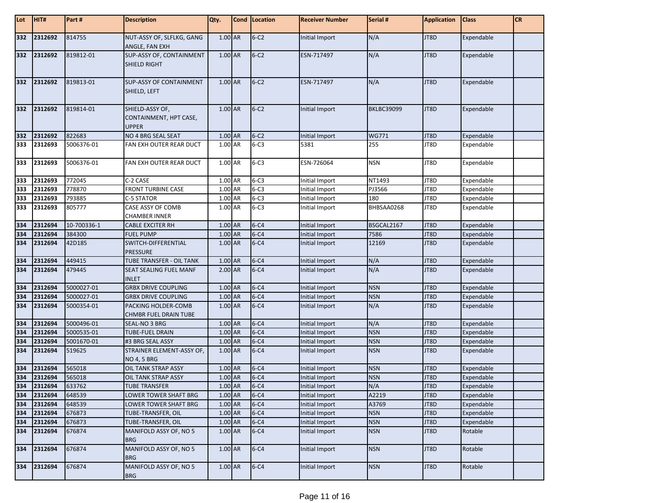| Lot        | HIT#                       | Part#       | <b>Description</b>                                        | Qty.    | Cond   Location | <b>Receiver Number</b> | Serial #          | <b>Application</b> | <b>Class</b> | <b>CR</b> |
|------------|----------------------------|-------------|-----------------------------------------------------------|---------|-----------------|------------------------|-------------------|--------------------|--------------|-----------|
| 332        | 2312692                    | 814755      | NUT-ASSY OF, SLFLKG, GANG<br>ANGLE, FAN EXH               | 1.00 AR | $6-C2$          | Initial Import         | N/A               | JT8D               | Expendable   |           |
| 332        | 2312692                    | 819812-01   | SUP-ASSY OF, CONTAINMENT<br><b>SHIELD RIGHT</b>           | 1.00 AR | $6-C2$          | ESN-717497             | N/A               | JT8D               | Expendable   |           |
| 332        | 2312692                    | 819813-01   | <b>SUP-ASSY OF CONTAINMENT</b><br>SHIELD, LEFT            | 1.00 AR | $6-C2$          | ESN-717497             | N/A               | JT8D               | Expendable   |           |
| 332        | 2312692                    | 819814-01   | SHIELD-ASSY OF,<br>CONTAINMENT, HPT CASE,<br><b>UPPER</b> | 1.00 AR | $6-C2$          | Initial Import         | <b>BKLBC39099</b> | JT8D               | Expendable   |           |
| 332        | 2312692                    | 822683      | NO 4 BRG SEAL SEAT                                        | 1.00 AR | $6-C2$          | Initial Import         | <b>WG771</b>      | JT8D               | Expendable   |           |
| 333        | 2312693                    | 5006376-01  | FAN EXH OUTER REAR DUCT                                   | 1.00 AR | $6 - C3$        | 5381                   | 255               | JT8D               | Expendable   |           |
| 333        | 2312693                    | 5006376-01  | FAN EXH OUTER REAR DUCT                                   | 1.00 AR | $6-C3$          | ESN-726064             | <b>NSN</b>        | JT8D               | Expendable   |           |
| 333        | 2312693                    | 772045      | C-2 CASE                                                  | 1.00 AR | $6 - C3$        | Initial Import         | NT1493            | JT8D               | Expendable   |           |
| 333        | 2312693                    | 778870      | <b>FRONT TURBINE CASE</b>                                 | 1.00 AR | $6 - C3$        | Initial Import         | PJ3566            | JT8D               | Expendable   |           |
| 333        | 2312693                    | 793885      | C-5 STATOR                                                | 1.00 AR | $6 - C3$        | Initial Import         | 180               | JT8D               | Expendable   |           |
| 333        | 2312693                    | 805777      | CASE ASSY OF COMB<br><b>CHAMBER INNER</b>                 | 1.00 AR | $6 - C3$        | Initial Import         | BHBSAA0268        | JT8D               | Expendable   |           |
| 334        | 2312694                    | 10-700336-1 | <b>CABLE EXCITER RH</b>                                   | 1.00 AR | $6 - C4$        | <b>Initial Import</b>  | BSGCAL2167        | JT8D               | Expendable   |           |
| 334        | 2312694                    | 384300      | FUEL PUMP                                                 | 1.00 AR | $6 - C4$        | Initial Import         | 7586              | JT8D               | Expendable   |           |
| 334        | 2312694                    | 42D185      | SWITCH-DIFFERENTIAL<br><b>PRESSURE</b>                    | 1.00 AR | $6 - C4$        | Initial Import         | 12169             | JT8D               | Expendable   |           |
| 334        | 2312694                    | 449415      | TUBE TRANSFER - OIL TANK                                  | 1.00 AR | $6 - C4$        | Initial Import         | N/A               | JT8D               | Expendable   |           |
| 334        | 2312694                    | 479445      | SEAT SEALING FUEL MANF<br><b>INLET</b>                    | 2.00 AR | $6 - C4$        | Initial Import         | N/A               | JT8D               | Expendable   |           |
|            | 2312694                    | 5000027-01  | <b>GRBX DRIVE COUPLING</b>                                | 1.00 AR | $6 - C4$        | Initial Import         | <b>NSN</b>        | JT8D               | Expendable   |           |
| 334<br>334 | 2312694                    | 5000027-01  | <b>GRBX DRIVE COUPLING</b>                                | 1.00 AR | $6 - C4$        | Initial Import         | <b>NSN</b>        | JT8D               | Expendable   |           |
| 334        | 2312694                    | 5000354-01  | PACKING HOLDER-COMB<br><b>CHMBR FUEL DRAIN TUBE</b>       | 1.00 AR | $6 - C4$        | Initial Import         | N/A               | JT8D               | Expendable   |           |
| 334        | 2312694                    | 5000496-01  | SEAL-NO 3 BRG                                             | 1.00 AR | $6 - C4$        | Initial Import         | N/A               | JT8D               | Expendable   |           |
| 334        | 2312694                    | 5000535-01  | TUBE-FUEL DRAIN                                           | 1.00 AR | $6 - C4$        | Initial Import         | <b>NSN</b>        | JT8D               | Expendable   |           |
| 334        | 2312694                    | 5001670-01  | #3 BRG SEAL ASSY                                          | 1.00 AR | $6 - C4$        | Initial Import         | <b>NSN</b>        | JT8D               | Expendable   |           |
| 334        | 2312694                    | 519625      | STRAINER ELEMENT-ASSY OF,<br><b>NO 4, 5 BRG</b>           | 1.00 AR | $6 - C4$        | Initial Import         | <b>NSN</b>        | JT8D               | Expendable   |           |
| 334        | 2312694                    | 565018      | OIL TANK STRAP ASSY                                       | 1.00 AR | $6 - C4$        | Initial Import         | <b>NSN</b>        | JT8D               | Expendable   |           |
|            | 334 2312694<br>334 2312694 | 565018      | OIL TANK STRAP ASSY                                       | 1.00 AR | $6 - C4$        | Initial Import         | <b>NSN</b>        | JT8D               | Expendable   |           |
|            |                            | 633762      | <b>TUBE TRANSFER</b>                                      | 1.00 AR | $6 - C4$        | Initial Import         | N/A               | JT8D               | Expendable   |           |
| 334        | 2312694                    | 648539      | LOWER TOWER SHAFT BRG                                     | 1.00 AR | $6 - C4$        | Initial Import         | A2219             | JT8D               | Expendable   |           |
| 334        | 2312694                    | 648539      | LOWER TOWER SHAFT BRG                                     | 1.00 AR | $6 - C4$        | Initial Import         | A3769             | JT8D               | Expendable   |           |
| 334        | 2312694                    | 676873      | TUBE-TRANSFER, OIL                                        | 1.00 AR | $6 - C4$        | Initial Import         | <b>NSN</b>        | JT8D               | Expendable   |           |
| 334        | 2312694                    | 676873      | TUBE-TRANSFER, OIL                                        | 1.00 AR | $6 - C4$        | Initial Import         | <b>NSN</b>        | JT8D               | Expendable   |           |
| 334        | 2312694                    | 676874      | MANIFOLD ASSY OF, NO 5<br><b>BRG</b>                      | 1.00 AR | $6 - C4$        | Initial Import         | <b>NSN</b>        | JT8D               | Rotable      |           |
| 334        | 2312694                    | 676874      | MANIFOLD ASSY OF, NO 5<br><b>BRG</b>                      | 1.00 AR | $6 - C4$        | Initial Import         | <b>NSN</b>        | JT8D               | Rotable      |           |
| 334        | 2312694                    | 676874      | MANIFOLD ASSY OF. NO 5<br><b>BRG</b>                      | 1.00 AR | $6 - C4$        | Initial Import         | <b>NSN</b>        | JT8D               | Rotable      |           |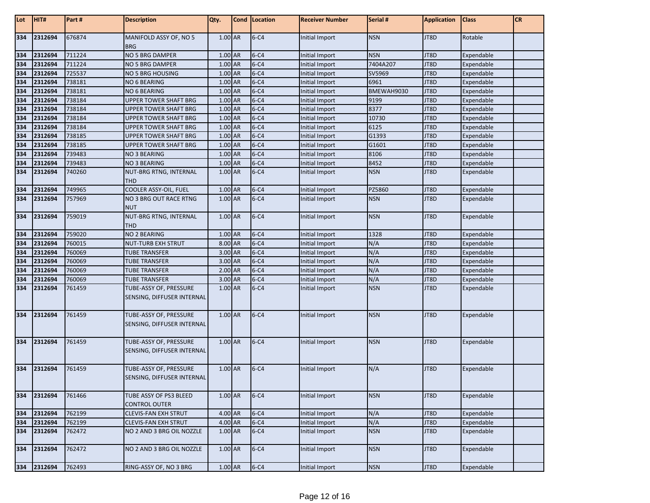| Lot | HIT#    | Part # | <b>Description</b>                                   | Qty.      | Cond   Location | <b>Receiver Number</b> | Serial #   | <b>Application</b> | <b>Class</b> | <b>CR</b> |
|-----|---------|--------|------------------------------------------------------|-----------|-----------------|------------------------|------------|--------------------|--------------|-----------|
| 334 | 2312694 | 676874 | MANIFOLD ASSY OF, NO 5<br><b>BRG</b>                 | $1.00$ AR | $6 - C4$        | Initial Import         | <b>NSN</b> | JT8D               | Rotable      |           |
| 334 | 2312694 | 711224 | NO 5 BRG DAMPER                                      | 1.00 AR   | $6 - C4$        | Initial Import         | <b>NSN</b> | JT8D               | Expendable   |           |
| 334 | 2312694 | 711224 | NO 5 BRG DAMPER                                      | 1.00 AR   | $6 - C4$        | Initial Import         | 7404A207   | JT8D               | Expendable   |           |
| 334 | 2312694 | 725537 | <b>NO 5 BRG HOUSING</b>                              | 1.00 AR   | $6 - C4$        | <b>Initial Import</b>  | SV5969     | JT8D               | Expendable   |           |
| 334 | 2312694 | 738181 | NO 6 BEARING                                         | 1.00 AR   | $6 - C4$        | Initial Import         | 6961       | JT8D               | Expendable   |           |
| 334 | 2312694 | 738181 | NO 6 BEARING                                         | 1.00 AR   | $6 - C4$        | Initial Import         | BMEWAH9030 | JT8D               | Expendable   |           |
| 334 | 2312694 | 738184 | UPPER TOWER SHAFT BRG                                | 1.00 AR   | $6 - C4$        | Initial Import         | 9199       | JT8D               | Expendable   |           |
| 334 | 2312694 | 738184 | UPPER TOWER SHAFT BRG                                | 1.00 AR   | $6 - C4$        | Initial Import         | 8377       | JT8D               | Expendable   |           |
| 334 | 2312694 | 738184 | <b>UPPER TOWER SHAFT BRG</b>                         | 1.00 AR   | $6 - C4$        | Initial Import         | 10730      | JT8D               | Expendable   |           |
| 334 | 2312694 | 738184 | UPPER TOWER SHAFT BRG                                | 1.00 AR   | $6 - C4$        | Initial Import         | 6125       | JT8D               | Expendable   |           |
| 334 | 2312694 | 738185 | UPPER TOWER SHAFT BRG                                | $1.00$ AR | $6 - C4$        | Initial Import         | G1393      | JT8D               | Expendable   |           |
| 334 | 2312694 | 738185 | <b>UPPER TOWER SHAFT BRG</b>                         | 1.00 AR   | $6 - C4$        | Initial Import         | G1601      | JT8D               | Expendable   |           |
| 334 | 2312694 | 739483 | NO 3 BEARING                                         | 1.00 AR   | $6 - C4$        | Initial Import         | 8106       | JT8D               | Expendable   |           |
| 334 | 2312694 | 739483 | <b>NO 3 BEARING</b>                                  | 1.00 AR   | $6 - C4$        | <b>Initial Import</b>  | 8452       | JT8D               | Expendable   |           |
| 334 | 2312694 | 740260 | NUT-BRG RTNG, INTERNAL<br><b>THD</b>                 | 1.00 AR   | $6 - C4$        | Initial Import         | <b>NSN</b> | JT8D               | Expendable   |           |
| 334 | 2312694 | 749965 | COOLER ASSY-OIL, FUEL                                | 1.00 AR   | $6 - C4$        | Initial Import         | PZ5860     | JT8D               | Expendable   |           |
| 334 | 2312694 | 757969 | <b>NO 3 BRG OUT RACE RTNG</b><br><b>NUT</b>          | 1.00 AR   | $6 - C4$        | Initial Import         | <b>NSN</b> | JT8D               | Expendable   |           |
| 334 | 2312694 | 759019 | NUT-BRG RTNG, INTERNAL<br><b>THD</b>                 | 1.00 AR   | $6 - C4$        | Initial Import         | <b>NSN</b> | JT8D               | Expendable   |           |
| 334 | 2312694 | 759020 | <b>NO 2 BEARING</b>                                  | $1.00$ AR | $6 - C4$        | Initial Import         | 1328       | JT8D               | Expendable   |           |
| 334 | 2312694 | 760015 | <b>NUT-TURB EXH STRUT</b>                            | 8.00 AR   | $6 - C4$        | Initial Import         | N/A        | JT8D               | Expendable   |           |
| 334 | 2312694 | 760069 | <b>TUBE TRANSFER</b>                                 | 3.00 AR   | $6 - C4$        | Initial Import         | N/A        | JT8D               | Expendable   |           |
| 334 | 2312694 | 760069 | <b>TUBE TRANSFER</b>                                 | 3.00 AR   | $6 - C4$        | Initial Import         | N/A        | JT8D               | Expendable   |           |
| 334 | 2312694 | 760069 | <b>TUBE TRANSFER</b>                                 | $2.00$ AR | $6 - C4$        | Initial Import         | N/A        | JT8D               | Expendable   |           |
| 334 | 2312694 | 760069 | <b>TUBE TRANSFER</b>                                 | 3.00 AR   | $6 - C4$        | Initial Import         | N/A        | JT8D               | Expendable   |           |
| 334 | 2312694 | 761459 | TUBE-ASSY OF, PRESSURE<br>SENSING, DIFFUSER INTERNAL | 1.00 AR   | $6 - C4$        | Initial Import         | <b>NSN</b> | JT8D               | Expendable   |           |
| 334 | 2312694 | 761459 | TUBE-ASSY OF, PRESSURE<br>SENSING, DIFFUSER INTERNAL | 1.00 AR   | $6 - C4$        | Initial Import         | <b>NSN</b> | JT8D               | Expendable   |           |
| 334 | 2312694 | 761459 | TUBE-ASSY OF, PRESSURE<br>SENSING, DIFFUSER INTERNAL | 1.00 AR   | $6 - C4$        | Initial Import         | <b>NSN</b> | JT8D               | Expendable   |           |
| 334 | 2312694 | 761459 | TUBE-ASSY OF, PRESSURE<br>SENSING, DIFFUSER INTERNAL | 1.00 AR   | $6 - C4$        | Initial Import         | N/A        | JT8D               | Expendable   |           |
| 334 | 2312694 | 761466 | TUBE ASSY OF PS3 BLEED<br><b>CONTROL OUTER</b>       | 1.00 AR   | $6 - C4$        | Initial Import         | <b>NSN</b> | JT8D               | Expendable   |           |
| 334 | 2312694 | 762199 | <b>CLEVIS-FAN EXH STRUT</b>                          | 4.00 AR   | $6 - C4$        | Initial Import         | N/A        | JT8D               | Expendable   |           |
| 334 | 2312694 | 762199 | <b>CLEVIS-FAN EXH STRUT</b>                          | 4.00 AR   | $6 - C4$        | Initial Import         | N/A        | JT8D               | Expendable   |           |
| 334 | 2312694 | 762472 | NO 2 AND 3 BRG OIL NOZZLE                            | 1.00 AR   | $6 - C4$        | Initial Import         | <b>NSN</b> | JT8D               | Expendable   |           |
| 334 | 2312694 | 762472 | NO 2 AND 3 BRG OIL NOZZLE                            | 1.00 AR   | $6 - C4$        | Initial Import         | <b>NSN</b> | JT8D               | Expendable   |           |
| 334 | 2312694 | 762493 | RING-ASSY OF, NO 3 BRG                               | $1.00$ AR | $6 - C4$        | Initial Import         | <b>NSN</b> | JT8D               | Expendable   |           |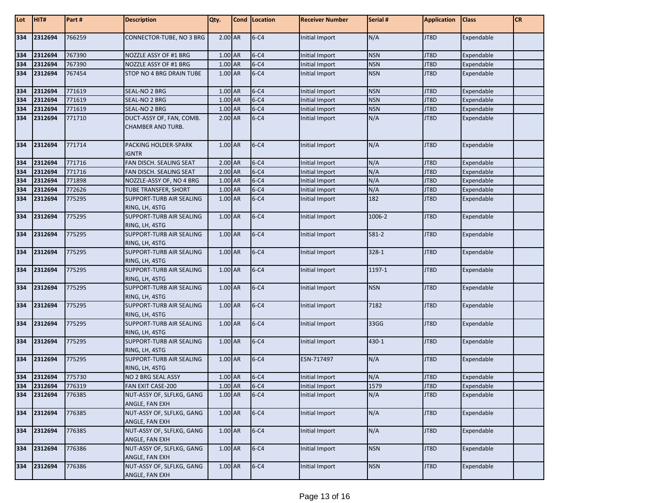| Lot | HIT#        | Part # | <b>Description</b>                                   | Qty.      | Cond Location | <b>Receiver Number</b> | Serial #   | <b>Application</b> | <b>Class</b> | <b>CR</b> |
|-----|-------------|--------|------------------------------------------------------|-----------|---------------|------------------------|------------|--------------------|--------------|-----------|
| 334 | 2312694     | 766259 | CONNECTOR-TUBE, NO 3 BRG                             | 2.00 AR   | $6 - C4$      | Initial Import         | N/A        | JT8D               | Expendable   |           |
| 334 | 2312694     | 767390 | NOZZLE ASSY OF #1 BRG                                | 1.00 AR   | $6 - C4$      | Initial Import         | <b>NSN</b> | JT8D               | Expendable   |           |
| 334 | 2312694     | 767390 | NOZZLE ASSY OF #1 BRG                                | 1.00 AR   | $6 - C4$      | <b>Initial Import</b>  | <b>NSN</b> | JT8D               | Expendable   |           |
| 334 | 2312694     | 767454 | STOP NO 4 BRG DRAIN TUBE                             | 1.00 AR   | $6 - C4$      | Initial Import         | <b>NSN</b> | JT8D               | Expendable   |           |
| 334 | 2312694     | 771619 | SEAL-NO 2 BRG                                        | 1.00 AR   | $6 - C4$      | Initial Import         | <b>NSN</b> | JT8D               | Expendable   |           |
| 334 | 2312694     | 771619 | SEAL-NO 2 BRG                                        | 1.00 AR   | $6 - C4$      | Initial Import         | <b>NSN</b> | JT8D               | Expendable   |           |
| 334 | 2312694     | 771619 | SEAL-NO 2 BRG                                        | 1.00 AR   | $6 - C4$      | Initial Import         | <b>NSN</b> | JT8D               | Expendable   |           |
| 334 | 2312694     | 771710 | DUCT-ASSY OF, FAN, COMB.<br><b>CHAMBER AND TURB.</b> | $2.00$ AR | $6 - C4$      | Initial Import         | N/A        | JT8D               | Expendable   |           |
| 334 | 2312694     | 771714 | PACKING HOLDER-SPARK<br><b>IGNTR</b>                 | 1.00 AR   | $6 - C4$      | Initial Import         | N/A        | JT8D               | Expendable   |           |
| 334 | 2312694     | 771716 | FAN DISCH. SEALING SEAT                              | 2.00 AR   | $6 - C4$      | Initial Import         | N/A        | JT8D               | Expendable   |           |
| 334 | 2312694     | 771716 | FAN DISCH. SEALING SEAT                              | 2.00 AR   | $6 - C4$      | Initial Import         | N/A        | JT8D               | Expendable   |           |
| 334 | 2312694     | 771898 | NOZZLE-ASSY OF, NO 4 BRG                             | 1.00 AR   | $6 - C4$      | Initial Import         | N/A        | JT8D               | Expendable   |           |
| 334 | 2312694     | 772626 | TUBE TRANSFER, SHORT                                 | 1.00 AR   | $6 - C4$      | Initial Import         | N/A        | JT8D               | Expendable   |           |
| 334 | 2312694     | 775295 | <b>SUPPORT-TURB AIR SEALING</b><br>RING, LH, 4STG    | 1.00 AR   | $6 - C4$      | Initial Import         | 182        | JT8D               | Expendable   |           |
| 334 | 2312694     | 775295 | <b>SUPPORT-TURB AIR SEALING</b><br>RING, LH, 4STG    | 1.00 AR   | $6 - C4$      | Initial Import         | 1006-2     | JT8D               | Expendable   |           |
| 334 | 2312694     | 775295 | <b>SUPPORT-TURB AIR SEALING</b><br>RING, LH, 4STG    | 1.00 AR   | $6 - C4$      | Initial Import         | 581-2      | JT8D               | Expendable   |           |
| 334 | 2312694     | 775295 | SUPPORT-TURB AIR SEALING<br>RING, LH, 4STG           | 1.00 AR   | $6 - C4$      | Initial Import         | 328-1      | JT8D               | Expendable   |           |
| 334 | 2312694     | 775295 | SUPPORT-TURB AIR SEALING<br>RING, LH, 4STG           | 1.00 AR   | $6 - C4$      | Initial Import         | 1197-1     | JT8D               | Expendable   |           |
| 334 | 2312694     | 775295 | SUPPORT-TURB AIR SEALING<br>RING, LH, 4STG           | 1.00 AR   | $6 - C4$      | Initial Import         | <b>NSN</b> | JT8D               | Expendable   |           |
| 334 | 2312694     | 775295 | <b>SUPPORT-TURB AIR SEALING</b><br>RING, LH, 4STG    | 1.00 AR   | $6 - C4$      | Initial Import         | 7182       | JT8D               | Expendable   |           |
| 334 | 2312694     | 775295 | <b>SUPPORT-TURB AIR SEALING</b><br>RING, LH, 4STG    | 1.00 AR   | $6 - C4$      | Initial Import         | 33GG       | JT8D               | Expendable   |           |
| 334 | 2312694     | 775295 | <b>SUPPORT-TURB AIR SEALING</b><br>RING, LH, 4STG    | 1.00 AR   | $6 - C4$      | Initial Import         | 430-1      | JT8D               | Expendable   |           |
| 334 | 2312694     | 775295 | <b>SUPPORT-TURB AIR SEALING</b><br>RING, LH, 4STG    | 1.00 AR   | $6 - C4$      | ESN-717497             | N/A        | JT8D               | Expendable   |           |
| 334 | 2312694     | 775730 | NO 2 BRG SEAL ASSY                                   | 1.00 AR   | $6 - C4$      | Initial Import         | N/A        | JT8D               | Expendable   |           |
|     | 334 2312694 | 776319 | FAN EXIT CASE-200                                    | 1.00 AR   | $6 - C4$      | Initial Import         | 1579       | JT8D               | Expendable   |           |
| 334 | 2312694     | 776385 | NUT-ASSY OF, SLFLKG, GANG                            | 1.00 AR   | $6 - C4$      | Initial Import         | N/A        | JT8D               | Expendable   |           |
|     |             |        | ANGLE, FAN EXH                                       |           |               |                        |            |                    |              |           |
| 334 | 2312694     | 776385 | NUT-ASSY OF, SLFLKG, GANG                            | 1.00 AR   | $6 - C4$      | Initial Import         | N/A        | JT8D               | Expendable   |           |
|     |             |        | ANGLE, FAN EXH                                       |           |               |                        |            |                    |              |           |
| 334 | 2312694     | 776385 | NUT-ASSY OF, SLFLKG, GANG<br>ANGLE, FAN EXH          | 1.00 AR   | $6 - C4$      | Initial Import         | N/A        | JT8D               | Expendable   |           |
| 334 | 2312694     | 776386 | NUT-ASSY OF, SLFLKG, GANG<br>ANGLE, FAN EXH          | $1.00$ AR | $6 - C4$      | Initial Import         | <b>NSN</b> | JT8D               | Expendable   |           |
| 334 | 2312694     | 776386 | NUT-ASSY OF, SLFLKG, GANG<br>ANGLE, FAN EXH          | $1.00$ AR | $6 - C4$      | Initial Import         | <b>NSN</b> | JT8D               | Expendable   |           |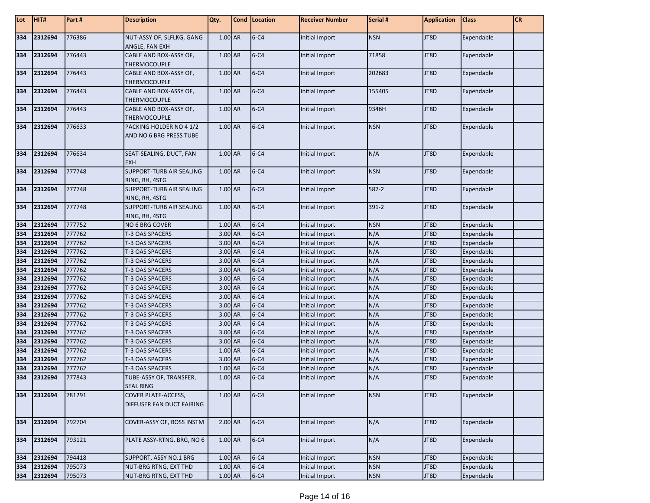| Lot        | HIT#               | Part#            | <b>Description</b>                                 | Qty.               | Cond   Location      | <b>Receiver Number</b>           | Serial #   | <b>Application</b> | <b>Class</b>             | <b>CR</b> |
|------------|--------------------|------------------|----------------------------------------------------|--------------------|----------------------|----------------------------------|------------|--------------------|--------------------------|-----------|
| 334        | 2312694            | 776386           | NUT-ASSY OF, SLFLKG, GANG<br>ANGLE, FAN EXH        | 1.00 AR            | $6 - C4$             | Initial Import                   | <b>NSN</b> | JT8D               | Expendable               |           |
| 334        | 2312694            | 776443           | CABLE AND BOX-ASSY OF,<br><b>THERMOCOUPLE</b>      | 1.00 AR            | $6 - C4$             | Initial Import                   | 71858      | JT8D               | Expendable               |           |
| 334        | 2312694            | 776443           | CABLE AND BOX-ASSY OF,<br>THERMOCOUPLE             | 1.00 AR            | $6 - C4$             | Initial Import                   | 202683     | JT8D               | Expendable               |           |
| 334        | 2312694            | 776443           | CABLE AND BOX-ASSY OF,<br>THERMOCOUPLE             | 1.00 AR            | $6 - C4$             | Initial Import                   | 155405     | JT8D               | Expendable               |           |
| 334        | 2312694            | 776443           | CABLE AND BOX-ASSY OF,<br>THERMOCOUPLE             | 1.00 AR            | $6 - C4$             | Initial Import                   | 9346H      | JT8D               | Expendable               |           |
| 334        | 2312694            | 776633           | PACKING HOLDER NO 4 1/2<br>AND NO 6 BRG PRESS TUBE | 1.00 AR            | $6 - C4$             | Initial Import                   | <b>NSN</b> | JT8D               | Expendable               |           |
| 334        | 2312694            | 776634           | SEAT-SEALING, DUCT, FAN<br><b>EXH</b>              | 1.00 AR            | $6 - C4$             | Initial Import                   | N/A        | JT8D               | Expendable               |           |
| 334        | 2312694            | 777748           | SUPPORT-TURB AIR SEALING<br>RING, RH, 4STG         | 1.00 AR            | $6 - C4$             | Initial Import                   | <b>NSN</b> | JT8D               | Expendable               |           |
| 334        | 2312694            | 777748           | SUPPORT-TURB AIR SEALING<br>RING, RH, 4STG         | 1.00 AR            | $6 - C4$             | Initial Import                   | 587-2      | JT8D               | Expendable               |           |
| 334        | 2312694            | 777748           | SUPPORT-TURB AIR SEALING<br>RING, RH, 4STG         | 1.00 AR            | $6 - C4$             | Initial Import                   | $391 - 2$  | JT8D               | Expendable               |           |
| 334        | 2312694            | 777752           | NO 6 BRG COVER                                     | 1.00 AR            | $6 - C4$             | Initial Import                   | <b>NSN</b> | JT8D               | Expendable               |           |
| 334        | 2312694            | 777762           | T-3 OAS SPACERS                                    | 3.00 AR            | $6 - C4$             | Initial Import                   | N/A        | JT8D               | Expendable               |           |
| 334        | 2312694            | 777762           | T-3 OAS SPACERS                                    | 3.00 AR            | $6 - C4$             | Initial Import                   | N/A        | JT8D               | Expendable               |           |
| 334        | 2312694            | 777762           | T-3 OAS SPACERS                                    | 3.00 AR            | $6 - C4$             | Initial Import                   | N/A        | JT8D               | Expendable               |           |
| 334        | 2312694            | 777762           | T-3 OAS SPACERS                                    | 3.00 AR            | $6 - C4$             | Initial Import                   | N/A        | JT8D               | Expendable               |           |
| 334        | 2312694            | 777762           | T-3 OAS SPACERS                                    | 3.00 AR            | $6 - C4$             | <b>Initial Import</b>            | N/A        | JT8D               | Expendable               |           |
| 334        | 2312694            | 777762           | T-3 OAS SPACERS                                    | 3.00 AR            | $6 - C4$             | <b>Initial Import</b>            | N/A        | JT8D               | Expendable               |           |
| 334        | 2312694            | 777762           | T-3 OAS SPACERS                                    | 3.00 AR            | $6 - C4$             | Initial Import                   | N/A        | JT8D               | Expendable               |           |
| 334        | 2312694            | 777762           | T-3 OAS SPACERS                                    | 3.00 AR            | $6 - C4$             | Initial Import                   | N/A        | JT8D               | Expendable               |           |
| 334        | 2312694            | 777762           | T-3 OAS SPACERS                                    | 3.00 AR            | $6 - C4$             | <b>Initial Import</b>            | N/A        | JT8D               | Expendable               |           |
| 334        | 2312694            | 777762           | T-3 OAS SPACERS                                    | 3.00 AR            | $6 - C4$             | Initial Import                   | N/A        | JT8D               | Expendable               |           |
| 334        | 2312694            | 777762           | T-3 OAS SPACERS                                    | 3.00 AR            | $6 - C4$             | Initial Import                   | N/A        | JT8D               | Expendable               |           |
| 334        | 2312694            | 777762           | T-3 OAS SPACERS                                    | 3.00 AR            | $6 - C4$             | Initial Import                   | N/A        | JT8D               | Expendable               |           |
| 334        | 2312694            | 777762           | T-3 OAS SPACERS                                    | 3.00 AR            | $6 - C4$             | Initial Import                   | N/A        | JT8D               | Expendable               |           |
| 334        | 2312694            | 777762           | T-3 OAS SPACERS                                    | 1.00 AR            | $6 - C4$<br>$6 - C4$ | Initial Import                   | N/A        | JT8D               | Expendable               |           |
| 334<br>334 | 2312694<br>2312694 | 777762<br>777762 | T-3 OAS SPACERS<br>T-3 OAS SPACERS                 | 3.00 AR<br>1.00 AR | $6 - C4$             | Initial Import<br>Initial Import | N/A<br>N/A | JT8D<br>JT8D       | Expendable<br>Expendable |           |
| 334        | 2312694            | 777843           | TUBE-ASSY OF, TRANSFER,<br><b>SEAL RING</b>        | 1.00 AR            | $6 - C4$             | Initial Import                   | N/A        | JT8D               | Expendable               |           |
| 334        | 2312694            | 781291           | COVER PLATE-ACCESS,<br>DIFFUSER FAN DUCT FAIRING   | 1.00 AR            | $6 - C4$             | Initial Import                   | <b>NSN</b> | JT8D               | Expendable               |           |
| 334        | 2312694            | 792704           | COVER-ASSY OF, BOSS INSTM                          | $2.00$ AR          | $6 - C4$             | Initial Import                   | N/A        | JT8D               | Expendable               |           |
| 334        | 2312694            | 793121           | PLATE ASSY-RTNG, BRG, NO 6                         | 1.00 AR            | $6 - C4$             | Initial Import                   | N/A        | JT8D               | Expendable               |           |
| 334        | 2312694            | 794418           | SUPPORT, ASSY NO.1 BRG                             | 1.00 AR            | $6 - C4$             | Initial Import                   | <b>NSN</b> | JT8D               | Expendable               |           |
| 334        | 2312694            | 795073           | NUT-BRG RTNG, EXT THD                              | 1.00 AR            | $6 - C4$             | Initial Import                   | <b>NSN</b> | JT8D               | Expendable               |           |
| 334        | 2312694            | 795073           | NUT-BRG RTNG, EXT THD                              | 1.00 AR            | $6 - C4$             | <b>Initial Import</b>            | <b>NSN</b> | JT8D               | Expendable               |           |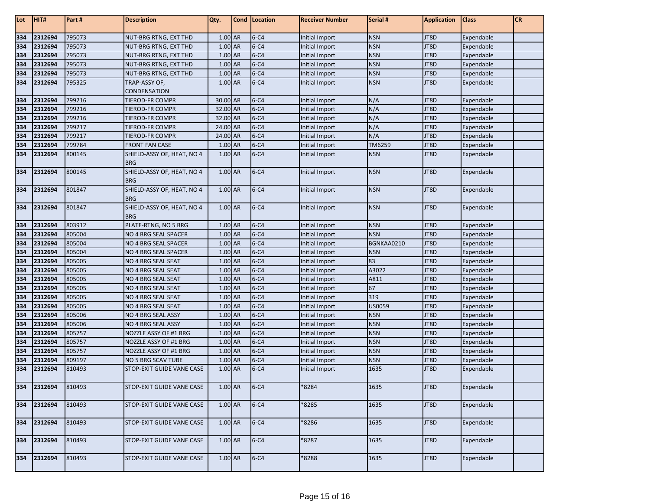| Lot | HIT#    | Part#  | <b>Description</b>                       | Qty.      | Cond   Location | <b>Receiver Number</b> | Serial #   | <b>Application</b> | <b>Class</b> | <b>CR</b> |
|-----|---------|--------|------------------------------------------|-----------|-----------------|------------------------|------------|--------------------|--------------|-----------|
| 334 | 2312694 | 795073 | NUT-BRG RTNG, EXT THD                    | 1.00 AR   | $6 - C4$        | Initial Import         | <b>NSN</b> | JT8D               | Expendable   |           |
| 334 | 2312694 | 795073 | NUT-BRG RTNG, EXT THD                    | $1.00$ AR | $6 - C4$        | Initial Import         | <b>NSN</b> | JT8D               | Expendable   |           |
| 334 | 2312694 | 795073 | NUT-BRG RTNG, EXT THD                    | 1.00 AR   | $6 - C4$        | Initial Import         | <b>NSN</b> | JT8D               | Expendable   |           |
| 334 | 2312694 | 795073 | NUT-BRG RTNG, EXT THD                    | $1.00$ AR | $6 - C4$        | Initial Import         | <b>NSN</b> | JT8D               | Expendable   |           |
| 334 | 2312694 | 795073 | NUT-BRG RTNG, EXT THD                    | $1.00$ AR | $6 - C4$        | Initial Import         | <b>NSN</b> | JT8D               | Expendable   |           |
| 334 | 2312694 | 795325 | TRAP-ASSY OF,                            | 1.00 AR   | $6 - C4$        | Initial Import         | <b>NSN</b> | JT8D               | Expendable   |           |
|     |         |        | CONDENSATION                             |           |                 |                        |            |                    |              |           |
| 334 | 2312694 | 799216 | TIEROD-FR COMPR                          | 30.00 AR  | $6 - C4$        | Initial Import         | N/A        | JT8D               | Expendable   |           |
| 334 | 2312694 | 799216 | TIEROD-FR COMPR                          | 32.00 AR  | $6 - C4$        | Initial Import         | N/A        | JT8D               | Expendable   |           |
| 334 | 2312694 | 799216 | TIEROD-FR COMPR                          | 32.00 AR  | $6 - C4$        | Initial Import         | N/A        | JT8D               | Expendable   |           |
| 334 | 2312694 | 799217 | TIEROD-FR COMPR                          | 24.00 AR  | $6 - C4$        | Initial Import         | N/A        | JT8D               | Expendable   |           |
| 334 | 2312694 | 799217 | TIEROD-FR COMPR                          | 24.00 AR  | $6 - C4$        | Initial Import         | N/A        | JT8D               | Expendable   |           |
| 334 | 2312694 | 799784 | <b>FRONT FAN CASE</b>                    | 1.00 AR   | $6 - C4$        | Initial Import         | TM6259     | JT8D               | Expendable   |           |
| 334 | 2312694 | 800145 | SHIELD-ASSY OF, HEAT, NO 4               | 1.00 AR   | $6 - C4$        | Initial Import         | <b>NSN</b> | JT8D               | Expendable   |           |
|     |         |        | <b>BRG</b>                               |           |                 |                        |            |                    |              |           |
| 334 | 2312694 | 800145 | SHIELD-ASSY OF, HEAT, NO 4               | 1.00 AR   | $6 - C4$        | Initial Import         | <b>NSN</b> | JT8D               | Expendable   |           |
|     |         |        | <b>BRG</b>                               |           |                 |                        |            |                    |              |           |
| 334 | 2312694 | 801847 | SHIELD-ASSY OF, HEAT, NO 4<br><b>BRG</b> | 1.00 AR   | $6 - C4$        | Initial Import         | <b>NSN</b> | <b>IT8D</b>        | Expendable   |           |
| 334 | 2312694 | 801847 | SHIELD-ASSY OF, HEAT, NO 4<br><b>BRG</b> | 1.00 AR   | $6 - C4$        | Initial Import         | <b>NSN</b> | JT8D               | Expendable   |           |
| 334 | 2312694 | 803912 | PLATE-RTNG, NO 5 BRG                     | 1.00 AR   | $6 - C4$        | Initial Import         | <b>NSN</b> | JT8D               | Expendable   |           |
| 334 | 2312694 | 805004 | NO 4 BRG SEAL SPACER                     | 1.00 AR   | $6 - C4$        | Initial Import         | <b>NSN</b> | JT8D               | Expendable   |           |
| 334 | 2312694 | 805004 | NO 4 BRG SEAL SPACER                     | $1.00$ AR | $6 - C4$        | Initial Import         | BGNKAA0210 | JT8D               | Expendable   |           |
| 334 | 2312694 | 805004 | NO 4 BRG SEAL SPACER                     | 1.00 AR   | $6 - C4$        | Initial Import         | <b>NSN</b> | JT8D               | Expendable   |           |
| 334 | 2312694 | 805005 | NO 4 BRG SEAL SEAT                       | 1.00 AR   | $6 - C4$        | Initial Import         | 83         | JT8D               | Expendable   |           |
| 334 | 2312694 | 805005 | NO 4 BRG SEAL SEAT                       | 1.00 AR   | $6 - C4$        | Initial Import         | A3022      | JT8D               | Expendable   |           |
| 334 | 2312694 | 805005 | NO 4 BRG SEAL SEAT                       | 1.00 AR   | $6 - C4$        | Initial Import         | A811       | JT8D               | Expendable   |           |
| 334 | 2312694 | 805005 | NO 4 BRG SEAL SEAT                       | 1.00 AR   | $6 - C4$        | Initial Import         | 67         | JT8D               | Expendable   |           |
| 334 | 2312694 | 805005 | NO 4 BRG SEAL SEAT                       | $1.00$ AR | $6 - C4$        | <b>Initial Import</b>  | 319        | JT8D               | Expendable   |           |
| 334 | 2312694 | 805005 | NO 4 BRG SEAL SEAT                       | 1.00 AR   | $6 - C4$        | Initial Import         | US0059     | JT8D               | Expendable   |           |
| 334 | 2312694 | 805006 | NO 4 BRG SEAL ASSY                       | 1.00 AR   | $6 - C4$        | Initial Import         | <b>NSN</b> | JT8D               | Expendable   |           |
| 334 | 2312694 | 805006 | NO 4 BRG SEAL ASSY                       | 1.00 AR   | $6 - C4$        | Initial Import         | <b>NSN</b> | JT8D               | Expendable   |           |
| 334 | 2312694 | 805757 | NOZZLE ASSY OF #1 BRG                    | 1.00 AR   | $6 - C4$        | Initial Import         | <b>NSN</b> | JT8D               | Expendable   |           |
| 334 | 2312694 | 805757 | NOZZLE ASSY OF #1 BRG                    | 1.00 AR   | $6 - C4$        | Initial Import         | <b>NSN</b> | JT8D               | Expendable   |           |
| 334 | 2312694 | 805757 | NOZZLE ASSY OF #1 BRG                    | 1.00 AR   | $6 - C4$        | Initial Import         | <b>NSN</b> | JT8D               | Expendable   |           |
| 334 | 2312694 | 809197 | <b>NO 5 BRG SCAV TUBE</b>                | 1.00 AR   | $6 - C4$        | Initial Import         | <b>NSN</b> | JT8D               | Expendable   |           |
| 334 | 2312694 | 810493 | STOP-EXIT GUIDE VANE CASE                | 1.00 AR   | $6 - C4$        | Initial Import         | 1635       | JT8D               | Expendable   |           |
| 334 | 2312694 | 810493 | STOP-EXIT GUIDE VANE CASE                | 1.00 AR   | $6 - C4$        | *8284                  | 1635       | JT8D               | Expendable   |           |
| 334 | 2312694 | 810493 | STOP-EXIT GUIDE VANE CASE                | $1.00$ AR | $6 - C4$        | *8285                  | 1635       | JT8D               | Expendable   |           |
| 334 | 2312694 | 810493 | STOP-EXIT GUIDE VANE CASE                | 1.00 AR   | $6 - C4$        | *8286                  | 1635       | JT8D               | Expendable   |           |
| 334 | 2312694 | 810493 | STOP-EXIT GUIDE VANE CASE                | 1.00 AR   | $6 - C4$        | *8287                  | 1635       | JT8D               | Expendable   |           |
| 334 | 2312694 | 810493 | STOP-EXIT GUIDE VANE CASE                | 1.00 AR   | $6 - C4$        | *8288                  | 1635       | JT8D               | Expendable   |           |